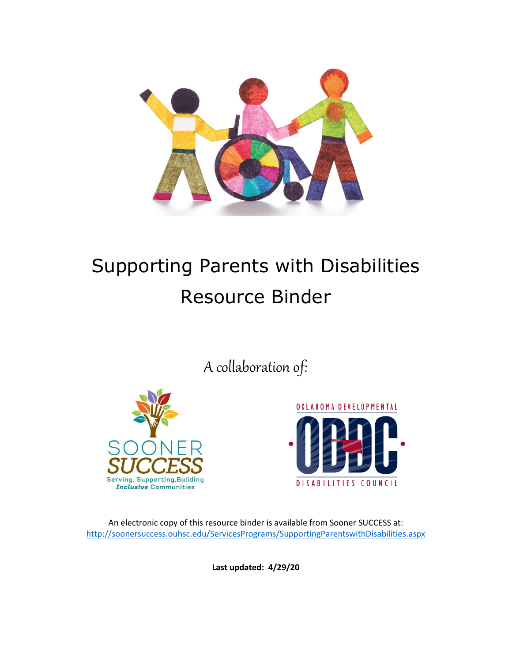

# Supporting Parents with Disabilities Resource Binder

A collaboration of:





An electronic copy of this resource binder is available from Sooner SUCCESS at: <http://soonersuccess.ouhsc.edu/ServicesPrograms/SupportingParentswithDisabilities.aspx>

**Last updated: 4/29/20**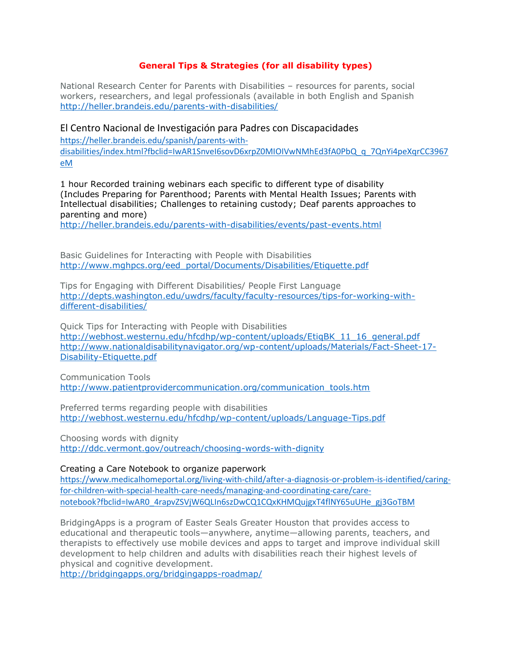# **General Tips & Strategies (for all disability types)**

National Research Center for Parents with Disabilities – resources for parents, social workers, researchers, and legal professionals (available in both English and Spanish <http://heller.brandeis.edu/parents-with-disabilities/>

## El Centro Nacional de Investigación para Padres con Discapacidades

[https://heller.brandeis.edu/spanish/parents-with](https://heller.brandeis.edu/spanish/parents-with-disabilities/index.html?fbclid=IwAR1SnveI6sovD6xrpZ0MIOIVwNMhEd3fA0PbQ_q_7QnYi4peXqrCC3967eM)[disabilities/index.html?fbclid=IwAR1SnveI6sovD6xrpZ0MIOIVwNMhEd3fA0PbQ\\_q\\_7QnYi4peXqrCC3967](https://heller.brandeis.edu/spanish/parents-with-disabilities/index.html?fbclid=IwAR1SnveI6sovD6xrpZ0MIOIVwNMhEd3fA0PbQ_q_7QnYi4peXqrCC3967eM) [eM](https://heller.brandeis.edu/spanish/parents-with-disabilities/index.html?fbclid=IwAR1SnveI6sovD6xrpZ0MIOIVwNMhEd3fA0PbQ_q_7QnYi4peXqrCC3967eM)

1 hour Recorded training webinars each specific to different type of disability (Includes Preparing for Parenthood; Parents with Mental Health Issues; Parents with Intellectual disabilities; Challenges to retaining custody; Deaf parents approaches to parenting and more)

<http://heller.brandeis.edu/parents-with-disabilities/events/past-events.html>

Basic Guidelines for Interacting with People with Disabilities [http://www.mghpcs.org/eed\\_portal/Documents/Disabilities/Etiquette.pdf](http://www.mghpcs.org/eed_portal/Documents/Disabilities/Etiquette.pdf)

Tips for Engaging with Different Disabilities/ People First Language [http://depts.washington.edu/uwdrs/faculty/faculty-resources/tips-for-working-with](http://depts.washington.edu/uwdrs/faculty/faculty-resources/tips-for-working-with-different-disabilities/)[different-disabilities/](http://depts.washington.edu/uwdrs/faculty/faculty-resources/tips-for-working-with-different-disabilities/)

Quick Tips for Interacting with People with Disabilities [http://webhost.westernu.edu/hfcdhp/wp-content/uploads/EtiqBK\\_11\\_16\\_general.pdf](http://webhost.westernu.edu/hfcdhp/wp-content/uploads/EtiqBK_11_16_general.pdf) [http://www.nationaldisabilitynavigator.org/wp-content/uploads/Materials/Fact-Sheet-17-](http://www.nationaldisabilitynavigator.org/wp-content/uploads/Materials/Fact-Sheet-17-Disability-Etiquette.pdf) [Disability-Etiquette.pdf](http://www.nationaldisabilitynavigator.org/wp-content/uploads/Materials/Fact-Sheet-17-Disability-Etiquette.pdf)

Communication Tools [http://www.patientprovidercommunication.org/communication\\_tools.htm](http://www.patientprovidercommunication.org/communication_tools.htm)

Preferred terms regarding people with disabilities <http://webhost.westernu.edu/hfcdhp/wp-content/uploads/Language-Tips.pdf>

Choosing words with dignity <http://ddc.vermont.gov/outreach/choosing-words-with-dignity>

Creating a Care Notebook to organize paperwork [https://www.medicalhomeportal.org/living-with-child/after-a-diagnosis-or-problem-is-identified/caring](https://www.medicalhomeportal.org/living-with-child/after-a-diagnosis-or-problem-is-identified/caring-for-children-with-special-health-care-needs/managing-and-coordinating-care/care-notebook?fbclid=IwAR0_4rapvZSVjW6QLIn6szDwCQ1CQxKHMQujgxT4flNY65uUHe_gj3GoTBM)[for-children-with-special-health-care-needs/managing-and-coordinating-care/care](https://www.medicalhomeportal.org/living-with-child/after-a-diagnosis-or-problem-is-identified/caring-for-children-with-special-health-care-needs/managing-and-coordinating-care/care-notebook?fbclid=IwAR0_4rapvZSVjW6QLIn6szDwCQ1CQxKHMQujgxT4flNY65uUHe_gj3GoTBM)[notebook?fbclid=IwAR0\\_4rapvZSVjW6QLIn6szDwCQ1CQxKHMQujgxT4flNY65uUHe\\_gj3GoTBM](https://www.medicalhomeportal.org/living-with-child/after-a-diagnosis-or-problem-is-identified/caring-for-children-with-special-health-care-needs/managing-and-coordinating-care/care-notebook?fbclid=IwAR0_4rapvZSVjW6QLIn6szDwCQ1CQxKHMQujgxT4flNY65uUHe_gj3GoTBM)

BridgingApps is a program of Easter Seals Greater Houston that provides access to educational and therapeutic tools—anywhere, anytime—allowing parents, teachers, and therapists to effectively use mobile devices and apps to target and improve individual skill development to help children and adults with disabilities reach their highest levels of physical and cognitive development.

<http://bridgingapps.org/bridgingapps-roadmap/>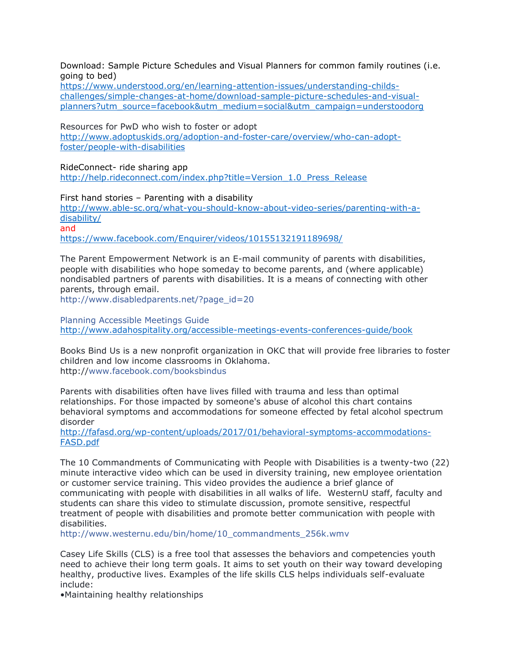Download: Sample Picture Schedules and Visual Planners for common family routines (i.e. going to bed)

[https://www.understood.org/en/learning-attention-issues/understanding-childs](https://www.understood.org/en/learning-attention-issues/understanding-childs-challenges/simple-changes-at-home/download-sample-picture-schedules-and-visual-planners?utm_source=facebook&utm_medium=social&utm_campaign=understoodorg)[challenges/simple-changes-at-home/download-sample-picture-schedules-and-visual](https://www.understood.org/en/learning-attention-issues/understanding-childs-challenges/simple-changes-at-home/download-sample-picture-schedules-and-visual-planners?utm_source=facebook&utm_medium=social&utm_campaign=understoodorg)[planners?utm\\_source=facebook&utm\\_medium=social&utm\\_campaign=understoodorg](https://www.understood.org/en/learning-attention-issues/understanding-childs-challenges/simple-changes-at-home/download-sample-picture-schedules-and-visual-planners?utm_source=facebook&utm_medium=social&utm_campaign=understoodorg)

Resources for PwD who wish to foster or adopt [http://www.adoptuskids.org/adoption-and-foster-care/overview/who-can-adopt](http://www.adoptuskids.org/adoption-and-foster-care/overview/who-can-adopt-foster/people-with-disabilities)[foster/people-with-disabilities](http://www.adoptuskids.org/adoption-and-foster-care/overview/who-can-adopt-foster/people-with-disabilities)

RideConnect- ride sharing app

[http://help.rideconnect.com/index.php?title=Version\\_1.0\\_Press\\_Release](http://help.rideconnect.com/index.php?title=Version_1.0_Press_Release)

First hand stories – Parenting with a disability

[http://www.able-sc.org/what-you-should-know-about-video-series/parenting-with-a](http://www.able-sc.org/what-you-should-know-about-video-series/parenting-with-a-disability/)[disability/](http://www.able-sc.org/what-you-should-know-about-video-series/parenting-with-a-disability/) and

<https://www.facebook.com/Enquirer/videos/10155132191189698/>

The Parent Empowerment Network is an E-mail community of parents with disabilities, people with disabilities who hope someday to become parents, and (where applicable) nondisabled partners of parents with disabilities. It is a means of connecting with other parents, through email.

[http://www.disabledparents.net/?page\\_id=20](http://www.disabledparents.net/?page_id=20)

Planning Accessible Meetings Guide <http://www.adahospitality.org/accessible-meetings-events-conferences-guide/book>

Books Bind Us is a new nonprofit organization in OKC that will provide free libraries to foster children and low income classrooms in Oklahoma. http:/[/www.facebook.com/booksbindus](https://www.facebook.com/booksbindus)

Parents with disabilities often have lives filled with trauma and less than optimal relationships. For those impacted by someone's abuse of alcohol this chart contains behavioral symptoms and accommodations for someone effected by fetal alcohol spectrum disorder

[http://fafasd.org/wp-content/uploads/2017/01/behavioral-symptoms-accommodations-](http://fafasd.org/wp-content/uploads/2017/01/behavioral-symptoms-accommodations-FASD.pdf)[FASD.pdf](http://fafasd.org/wp-content/uploads/2017/01/behavioral-symptoms-accommodations-FASD.pdf)

The 10 Commandments of Communicating with People with Disabilities is a twenty-two (22) minute interactive video which can be used in diversity training, new employee orientation or customer service training. This video provides the audience a brief glance of communicating with people with disabilities in all walks of life. WesternU staff, faculty and students can share this video to stimulate discussion, promote sensitive, respectful treatment of people with disabilities and promote better communication with people with disabilities.

[http://www.westernu.edu/bin/home/10\\_commandments\\_256k.wmv](http://www.westernu.edu/bin/home/10_commandments_256k.wmv)

Casey Life Skills (CLS) is a free tool that assesses the behaviors and competencies youth need to achieve their long term goals. It aims to set youth on their way toward developing healthy, productive lives. Examples of the life skills CLS helps individuals self-evaluate include:

•Maintaining healthy relationships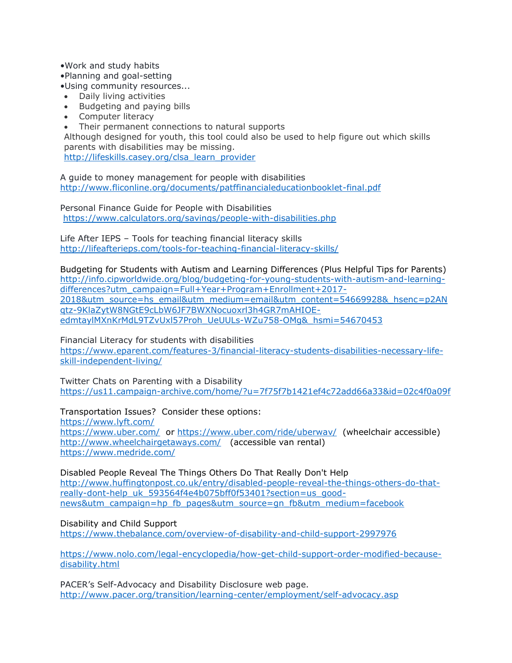•Work and study habits

•Planning and goal-setting

•Using community resources...

- Daily living activities
- Budgeting and paying bills
- Computer literacy
- Their permanent connections to natural supports

Although designed for youth, this tool could also be used to help figure out which skills parents with disabilities may be missing. [http://lifeskills.casey.org/clsa\\_learn\\_provider](http://lifeskills.casey.org/clsa_learn_provider)

A guide to money management for people with disabilities <http://www.fliconline.org/documents/patffinancialeducationbooklet-final.pdf>

Personal Finance Guide for People with Disabilities <https://www.calculators.org/savings/people-with-disabilities.php>

Life After IEPS – Tools for teaching financial literacy skills <http://lifeafterieps.com/tools-for-teaching-financial-literacy-skills/>

Budgeting for Students with Autism and Learning Differences (Plus Helpful Tips for Parents) [http://info.cipworldwide.org/blog/budgeting-for-young-students-with-autism-and-learning](http://info.cipworldwide.org/blog/budgeting-for-young-students-with-autism-and-learning-differences?utm_campaign=Full+Year+Program+Enrollment+2017-2018&utm_source=hs_email&utm_medium=email&utm_content=54669928&_hsenc=p2ANqtz-9KlaZytW8NGtE9cLbW6JF7BWXNocuoxrl3h4GR7mAHIOE-edmtaylMXnKrMdL9TZvUxl57Proh_UeUULs-WZu758-OMg&_hsmi=54670453)[differences?utm\\_campaign=Full+Year+Program+Enrollment+2017-](http://info.cipworldwide.org/blog/budgeting-for-young-students-with-autism-and-learning-differences?utm_campaign=Full+Year+Program+Enrollment+2017-2018&utm_source=hs_email&utm_medium=email&utm_content=54669928&_hsenc=p2ANqtz-9KlaZytW8NGtE9cLbW6JF7BWXNocuoxrl3h4GR7mAHIOE-edmtaylMXnKrMdL9TZvUxl57Proh_UeUULs-WZu758-OMg&_hsmi=54670453) [2018&utm\\_source=hs\\_email&utm\\_medium=email&utm\\_content=54669928&\\_hsenc=p2AN](http://info.cipworldwide.org/blog/budgeting-for-young-students-with-autism-and-learning-differences?utm_campaign=Full+Year+Program+Enrollment+2017-2018&utm_source=hs_email&utm_medium=email&utm_content=54669928&_hsenc=p2ANqtz-9KlaZytW8NGtE9cLbW6JF7BWXNocuoxrl3h4GR7mAHIOE-edmtaylMXnKrMdL9TZvUxl57Proh_UeUULs-WZu758-OMg&_hsmi=54670453) [qtz-9KlaZytW8NGtE9cLbW6JF7BWXNocuoxrl3h4GR7mAHIOE](http://info.cipworldwide.org/blog/budgeting-for-young-students-with-autism-and-learning-differences?utm_campaign=Full+Year+Program+Enrollment+2017-2018&utm_source=hs_email&utm_medium=email&utm_content=54669928&_hsenc=p2ANqtz-9KlaZytW8NGtE9cLbW6JF7BWXNocuoxrl3h4GR7mAHIOE-edmtaylMXnKrMdL9TZvUxl57Proh_UeUULs-WZu758-OMg&_hsmi=54670453)[edmtaylMXnKrMdL9TZvUxl57Proh\\_UeUULs-WZu758-OMg&\\_hsmi=54670453](http://info.cipworldwide.org/blog/budgeting-for-young-students-with-autism-and-learning-differences?utm_campaign=Full+Year+Program+Enrollment+2017-2018&utm_source=hs_email&utm_medium=email&utm_content=54669928&_hsenc=p2ANqtz-9KlaZytW8NGtE9cLbW6JF7BWXNocuoxrl3h4GR7mAHIOE-edmtaylMXnKrMdL9TZvUxl57Proh_UeUULs-WZu758-OMg&_hsmi=54670453)

Financial Literacy for students with disabilities

[https://www.eparent.com/features-3/financial-literacy-students-disabilities-necessary-life](https://www.eparent.com/features-3/financial-literacy-students-disabilities-necessary-life-skill-independent-living/)[skill-independent-living/](https://www.eparent.com/features-3/financial-literacy-students-disabilities-necessary-life-skill-independent-living/)

Twitter Chats on Parenting with a Disability <https://us11.campaign-archive.com/home/?u=7f75f7b1421ef4c72add66a33&id=02c4f0a09f>

Transportation Issues?Consider these options:

<https://www.lyft.com/> <https://www.uber.com/>or<https://www.uber.com/ride/uberwav/>(wheelchair accessible) <http://www.wheelchairgetaways.com/>(accessible van rental) <https://www.medride.com/>

Disabled People Reveal The Things Others Do That Really Don't Help [http://www.huffingtonpost.co.uk/entry/disabled-people-reveal-the-things-others-do-that](http://www.huffingtonpost.co.uk/entry/disabled-people-reveal-the-things-others-do-that-really-dont-help_uk_593564f4e4b075bff0f53401?section=us_good-news&utm_campaign=hp_fb_pages&utm_source=gn_fb&utm_medium=facebook)[really-dont-help\\_uk\\_593564f4e4b075bff0f53401?section=us\\_good](http://www.huffingtonpost.co.uk/entry/disabled-people-reveal-the-things-others-do-that-really-dont-help_uk_593564f4e4b075bff0f53401?section=us_good-news&utm_campaign=hp_fb_pages&utm_source=gn_fb&utm_medium=facebook)[news&utm\\_campaign=hp\\_fb\\_pages&utm\\_source=gn\\_fb&utm\\_medium=facebook](http://www.huffingtonpost.co.uk/entry/disabled-people-reveal-the-things-others-do-that-really-dont-help_uk_593564f4e4b075bff0f53401?section=us_good-news&utm_campaign=hp_fb_pages&utm_source=gn_fb&utm_medium=facebook)

Disability and Child Support

<https://www.thebalance.com/overview-of-disability-and-child-support-2997976>

[https://www.nolo.com/legal-encyclopedia/how-get-child-support-order-modified-because](https://www.nolo.com/legal-encyclopedia/how-get-child-support-order-modified-because-disability.html)[disability.html](https://www.nolo.com/legal-encyclopedia/how-get-child-support-order-modified-because-disability.html)

PACER's Self-Advocacy and Disability Disclosure web page. <http://www.pacer.org/transition/learning-center/employment/self-advocacy.asp>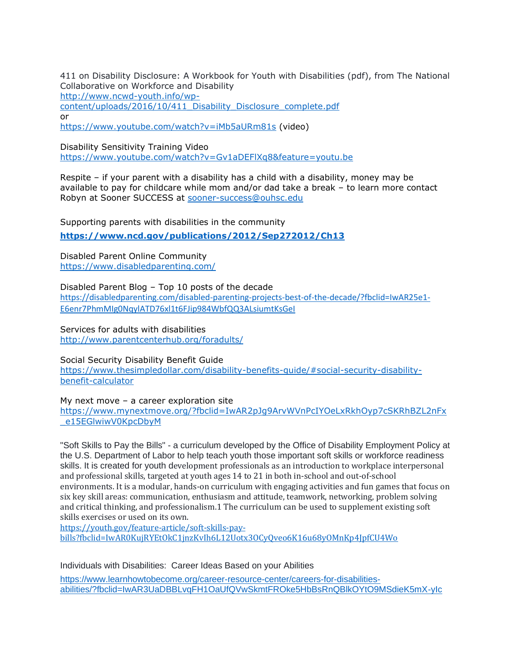411 on Disability Disclosure: A Workbook for Youth with Disabilities (pdf), from The National Collaborative on Workforce and Disability [http://www.ncwd-youth.info/wp](http://www.ncwd-youth.info/wp-content/uploads/2016/10/411_Disability_Disclosure_complete.pdf)[content/uploads/2016/10/411\\_Disability\\_Disclosure\\_complete.pdf](http://www.ncwd-youth.info/wp-content/uploads/2016/10/411_Disability_Disclosure_complete.pdf) or

<https://www.youtube.com/watch?v=iMb5aURm81s> (video)

Disability Sensitivity Training Video

<https://www.youtube.com/watch?v=Gv1aDEFlXq8&feature=youtu.be>

Respite – if your parent with a disability has a child with a disability, money may be available to pay for childcare while mom and/or dad take a break – to learn more contact Robyn at Sooner SUCCESS at [sooner-success@ouhsc.edu](mailto:sooner-success@ouhsc.edu)

Supporting parents with disabilities in the community

**<https://www.ncd.gov/publications/2012/Sep272012/Ch13>**

Disabled Parent Online Community <https://www.disabledparenting.com/>

Disabled Parent Blog – Top 10 posts of the decade [https://disabledparenting.com/disabled-parenting-projects-best-of-the-decade/?fbclid=IwAR25e1-](https://disabledparenting.com/disabled-parenting-projects-best-of-the-decade/?fbclid=IwAR25e1-E6enr7PhmMIg0NqylATD76xl1t6FJip984WbfQQ3ALsiumtKsGeI) [E6enr7PhmMIg0NqylATD76xl1t6FJip984WbfQQ3ALsiumtKsGeI](https://disabledparenting.com/disabled-parenting-projects-best-of-the-decade/?fbclid=IwAR25e1-E6enr7PhmMIg0NqylATD76xl1t6FJip984WbfQQ3ALsiumtKsGeI)

Services for adults with disabilities <http://www.parentcenterhub.org/foradults/>

Social Security Disability Benefit Guide [https://www.thesimpledollar.com/disability-benefits-guide/#social-security-disability](https://www.thesimpledollar.com/disability-benefits-guide/#social-security-disability-benefit-calculator)[benefit-calculator](https://www.thesimpledollar.com/disability-benefits-guide/#social-security-disability-benefit-calculator)

My next move – a career exploration site [https://www.mynextmove.org/?fbclid=IwAR2pJg9ArvWVnPcIYOeLxRkhOyp7cSKRhBZL2nFx](https://www.mynextmove.org/?fbclid=IwAR2pJg9ArvWVnPcIYOeLxRkhOyp7cSKRhBZL2nFx_e15EGlwiwV0KpcDbyM) [\\_e15EGlwiwV0KpcDbyM](https://www.mynextmove.org/?fbclid=IwAR2pJg9ArvWVnPcIYOeLxRkhOyp7cSKRhBZL2nFx_e15EGlwiwV0KpcDbyM)

"Soft Skills to Pay the Bills" - a curriculum developed by the Office of Disability Employment Policy at the U.S. Department of Labor to help teach youth those important soft skills or workforce readiness skills. It is created for youth development professionals as an introduction to workplace interpersonal and professional skills, targeted at youth ages 14 to 21 in both in-school and out-of-school environments. It is a modular, hands-on curriculum with engaging activities and fun games that focus on six key skill areas: communication, enthusiasm and attitude, teamwork, networking, problem solving and critical thinking, and professionalism.1 The curriculum can be used to supplement existing soft skills exercises or used on its own.

[https://youth.gov/feature-article/soft-skills-pay](https://youth.gov/feature-article/soft-skills-pay-bills?fbclid=IwAR0KujRYEtOkC1jnzKvIh6L12Uotx3OCyQveo6K16u68yOMnKp4JpfCU4Wo)[bills?fbclid=IwAR0KujRYEtOkC1jnzKvIh6L12Uotx3OCyQveo6K16u68yOMnKp4JpfCU4Wo](https://youth.gov/feature-article/soft-skills-pay-bills?fbclid=IwAR0KujRYEtOkC1jnzKvIh6L12Uotx3OCyQveo6K16u68yOMnKp4JpfCU4Wo)

Individuals with Disabilities: Career Ideas Based on your Abilities

[https://www.learnhowtobecome.org/career-resource-center/careers-for-disabilities](https://www.learnhowtobecome.org/career-resource-center/careers-for-disabilities-abilities/?fbclid=IwAR3UaDBBLvqFH1OaUfQVwSkmtFROke5HbBsRnQBlkOYtO9MSdieK5mX-yIc)[abilities/?fbclid=IwAR3UaDBBLvqFH1OaUfQVwSkmtFROke5HbBsRnQBlkOYtO9MSdieK5mX-yIc](https://www.learnhowtobecome.org/career-resource-center/careers-for-disabilities-abilities/?fbclid=IwAR3UaDBBLvqFH1OaUfQVwSkmtFROke5HbBsRnQBlkOYtO9MSdieK5mX-yIc)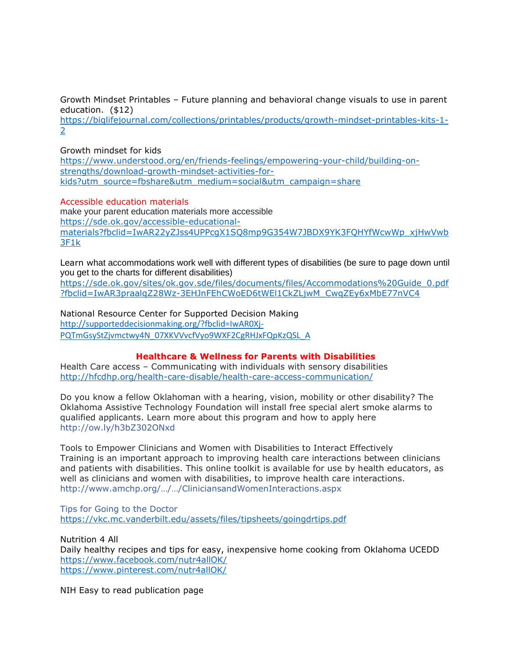Growth Mindset Printables – Future planning and behavioral change visuals to use in parent education. (\$12)

[https://biglifejournal.com/collections/printables/products/growth-mindset-printables-kits-1-](https://biglifejournal.com/collections/printables/products/growth-mindset-printables-kits-1-2) [2](https://biglifejournal.com/collections/printables/products/growth-mindset-printables-kits-1-2)

Growth mindset for kids

[https://www.understood.org/en/friends-feelings/empowering-your-child/building-on](https://www.understood.org/en/friends-feelings/empowering-your-child/building-on-strengths/download-growth-mindset-activities-for-kids?utm_source=fbshare&utm_medium=social&utm_campaign=share)[strengths/download-growth-mindset-activities-for](https://www.understood.org/en/friends-feelings/empowering-your-child/building-on-strengths/download-growth-mindset-activities-for-kids?utm_source=fbshare&utm_medium=social&utm_campaign=share)[kids?utm\\_source=fbshare&utm\\_medium=social&utm\\_campaign=share](https://www.understood.org/en/friends-feelings/empowering-your-child/building-on-strengths/download-growth-mindset-activities-for-kids?utm_source=fbshare&utm_medium=social&utm_campaign=share)

Accessible education materials

make your parent education materials more accessible [https://sde.ok.gov/accessible-educational](https://sde.ok.gov/accessible-educational-materials?fbclid=IwAR22yZJss4UPPcgX1SQ8mp9G354W7JBDX9YK3FQHYfWcwWp_xjHwVwb3F1k)[materials?fbclid=IwAR22yZJss4UPPcgX1SQ8mp9G354W7JBDX9YK3FQHYfWcwWp\\_xjHwVwb](https://sde.ok.gov/accessible-educational-materials?fbclid=IwAR22yZJss4UPPcgX1SQ8mp9G354W7JBDX9YK3FQHYfWcwWp_xjHwVwb3F1k) [3F1k](https://sde.ok.gov/accessible-educational-materials?fbclid=IwAR22yZJss4UPPcgX1SQ8mp9G354W7JBDX9YK3FQHYfWcwWp_xjHwVwb3F1k)

Learn what accommodations work well with different types of disabilities (be sure to page down until you get to the charts for different disabilities)

[https://sde.ok.gov/sites/ok.gov.sde/files/documents/files/Accommodations%20Guide\\_0.pdf](https://sde.ok.gov/sites/ok.gov.sde/files/documents/files/Accommodations%20Guide_0.pdf?fbclid=IwAR3praalqZ28Wz-3EHJnFEhCWoED6tWEl1CkZLjwM_CwqZEy6xMbE77nVC4) [?fbclid=IwAR3praalqZ28Wz-3EHJnFEhCWoED6tWEl1CkZLjwM\\_CwqZEy6xMbE77nVC4](https://sde.ok.gov/sites/ok.gov.sde/files/documents/files/Accommodations%20Guide_0.pdf?fbclid=IwAR3praalqZ28Wz-3EHJnFEhCWoED6tWEl1CkZLjwM_CwqZEy6xMbE77nVC4)

National Resource Center for Supported Decision Making [http://supporteddecisionmaking.org/?fbclid=IwAR0Xj-](http://supporteddecisionmaking.org/?fbclid=IwAR0Xj-PQTmGsyStZjvmctwy4N_07XKVVvcfVyo9WXF2CgRHJxFQpKzQSL_A)[PQTmGsyStZjvmctwy4N\\_07XKVVvcfVyo9WXF2CgRHJxFQpKzQSL\\_A](http://supporteddecisionmaking.org/?fbclid=IwAR0Xj-PQTmGsyStZjvmctwy4N_07XKVVvcfVyo9WXF2CgRHJxFQpKzQSL_A)

## **Healthcare & Wellness for Parents with Disabilities**

Health Care access – Communicating with individuals with sensory disabilities <http://hfcdhp.org/health-care-disable/health-care-access-communication/>

Do you know a fellow Oklahoman with a hearing, vision, mobility or other disability? The Oklahoma Assistive Technology Foundation will install free special alert smoke alarms to qualified applicants. Learn more about this program and how to apply here [http://ow.ly/h3bZ302ONxd](http://l.facebook.com/l.php?u=http%3A%2F%2Fow.ly%2Fh3bZ302ONxd&h=JAQG9Z3P-AQHzY3p8VIIVIakuahr4w6YF6qiebtjix1hICw&enc=AZOfxTVV9kSHA-t0OoyMPGg_CLSsP-yg3NtJfpcWcgWgi03HMrqCTdUlveqyg-eRxVgvHHu6mhUofyU5kWhsk_032Jh3HlgGUhrUqIbyLUQHxFHKFso9pOfbeCQFmFzxkbdZbW7yQijR-yyf_Ocy6mFUjfSkeP1YsSI8SGGGCyP3Mf1RB3_V_okjlRHAQZTOsR8WAPWbn4Gu1XzXClhsmcnC&s=1)

Tools to Empower Clinicians and Women with Disabilities to Interact Effectively Training is an important approach to improving health care interactions between clinicians and patients with disabilities. This online toolkit is available for use by health educators, as well as clinicians and women with disabilities, to improve health care interactions. [http://www.amchp.org/…/…/CliniciansandWomenInteractions.aspx](http://www.amchp.org/programsandtopics/womens-health/Focus%20Areas/WomensHealthDisability/Pages/CliniciansandWomenInteractions.aspx)

Tips for Going to the Doctor <https://vkc.mc.vanderbilt.edu/assets/files/tipsheets/goingdrtips.pdf>

Nutrition 4 All Daily healthy recipes and tips for easy, inexpensive home cooking from Oklahoma UCEDD <https://www.facebook.com/nutr4allOK/> <https://www.pinterest.com/nutr4allOK/>

NIH Easy to read publication page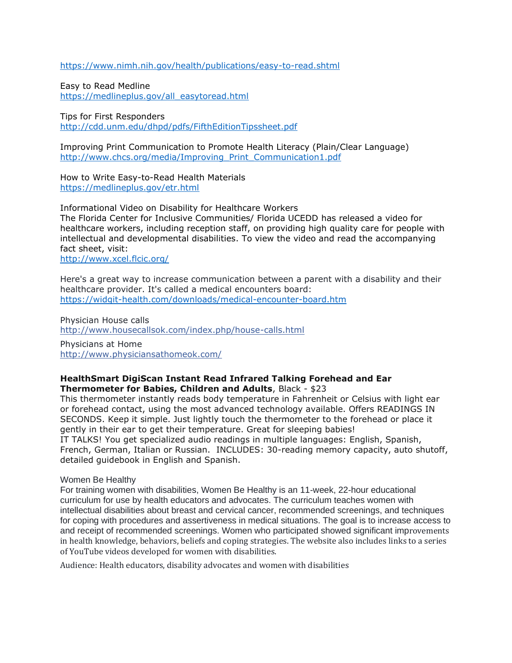<https://www.nimh.nih.gov/health/publications/easy-to-read.shtml>

Easy to Read Medline [https://medlineplus.gov/all\\_easytoread.html](https://medlineplus.gov/all_easytoread.html)

Tips for First Responders <http://cdd.unm.edu/dhpd/pdfs/FifthEditionTipssheet.pdf>

Improving Print Communication to Promote Health Literacy (Plain/Clear Language) [http://www.chcs.org/media/Improving\\_Print\\_Communication1.pdf](http://www.chcs.org/media/Improving_Print_Communication1.pdf)

How to Write Easy-to-Read Health Materials <https://medlineplus.gov/etr.html>

Informational Video on Disability for Healthcare Workers The Florida Center for Inclusive Communities/ Florida UCEDD has released a video for healthcare workers, including reception staff, on providing high quality care for people with intellectual and developmental disabilities. To view the video and read the accompanying fact sheet, visit: <http://www.xcel.flcic.org/>

Here's a great way to increase communication between a parent with a disability and their healthcare provider. It's called a medical encounters board: <https://widgit-health.com/downloads/medical-encounter-board.htm>

Physician House calls <http://www.housecallsok.com/index.php/house-calls.html>

Physicians at Home <http://www.physiciansathomeok.com/>

## **HealthSmart DigiScan Instant Read Infrared Talking Forehead and Ear Thermometer for Babies, Children and Adults**, Black - \$23

This thermometer instantly reads body temperature in Fahrenheit or Celsius with light ear or forehead contact, using the most advanced technology available. Offers READINGS IN SECONDS. Keep it simple. Just lightly touch the thermometer to the forehead or place it gently in their ear to get their temperature. Great for sleeping babies!

IT TALKS! You get specialized audio readings in multiple languages: English, Spanish, French, German, Italian or Russian. INCLUDES: 30-reading memory capacity, auto shutoff, detailed guidebook in English and Spanish.

## Women Be Healthy

For training women with disabilities, Women Be Healthy is an 11-week, 22-hour educational curriculum for use by health educators and advocates. The curriculum teaches women with intellectual disabilities about breast and cervical cancer, recommended screenings, and techniques for coping with procedures and assertiveness in medical situations. The goal is to increase access to and receipt of recommended screenings. Women who participated showed significant improvements in health knowledge, behaviors, beliefs and coping strategies. The website also includes links to a series of YouTube videos developed for women with disabilities.

Audience: Health educators, disability advocates and women with disabilities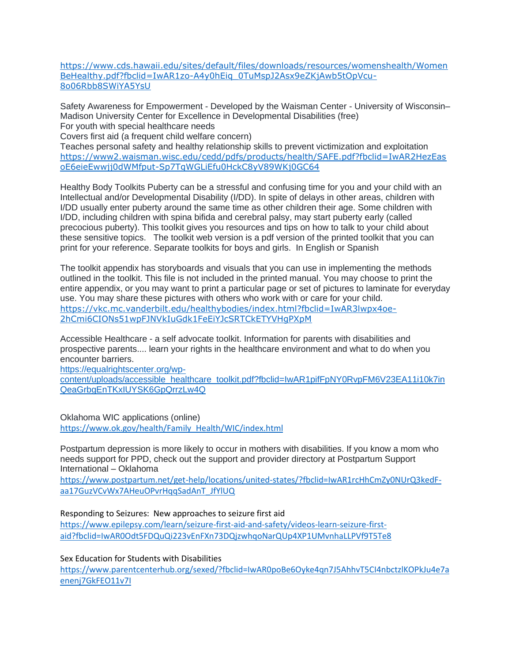[https://www.cds.hawaii.edu/sites/default/files/downloads/resources/womenshealth/Women](https://www.cds.hawaii.edu/sites/default/files/downloads/resources/womenshealth/WomenBeHealthy.pdf?fbclid=IwAR1zo-A4y0hEiq_0TuMspJ2Asx9eZKjAwb5tOpVcu-8o06Rbb8SWiYA5YsU) [BeHealthy.pdf?fbclid=IwAR1zo-A4y0hEiq\\_0TuMspJ2Asx9eZKjAwb5tOpVcu-](https://www.cds.hawaii.edu/sites/default/files/downloads/resources/womenshealth/WomenBeHealthy.pdf?fbclid=IwAR1zo-A4y0hEiq_0TuMspJ2Asx9eZKjAwb5tOpVcu-8o06Rbb8SWiYA5YsU)[8o06Rbb8SWiYA5YsU](https://www.cds.hawaii.edu/sites/default/files/downloads/resources/womenshealth/WomenBeHealthy.pdf?fbclid=IwAR1zo-A4y0hEiq_0TuMspJ2Asx9eZKjAwb5tOpVcu-8o06Rbb8SWiYA5YsU)

Safety Awareness for Empowerment - Developed by the Waisman Center - University of Wisconsin– Madison University Center for Excellence in Developmental Disabilities (free) For youth with special healthcare needs

Covers first aid (a frequent child welfare concern)

Teaches personal safety and healthy relationship skills to prevent victimization and exploitation [https://www2.waisman.wisc.edu/cedd/pdfs/products/health/SAFE.pdf?fbclid=IwAR2HezEas](https://www2.waisman.wisc.edu/cedd/pdfs/products/health/SAFE.pdf?fbclid=IwAR2HezEasoE6eieEwwjj0dWMfput-Sp7TgWGLiEfu0HckC8yV89WKj0GC64) [oE6eieEwwjj0dWMfput-Sp7TgWGLiEfu0HckC8yV89WKj0GC64](https://www2.waisman.wisc.edu/cedd/pdfs/products/health/SAFE.pdf?fbclid=IwAR2HezEasoE6eieEwwjj0dWMfput-Sp7TgWGLiEfu0HckC8yV89WKj0GC64)

Healthy Body Toolkits Puberty can be a stressful and confusing time for you and your child with an Intellectual and/or Developmental Disability (I/DD). In spite of delays in other areas, children with I/DD usually enter puberty around the same time as other children their age. Some children with I/DD, including children with spina bifida and cerebral palsy, may start puberty early (called precocious puberty). This toolkit gives you resources and tips on how to talk to your child about these sensitive topics. The toolkit web version is a pdf version of the printed toolkit that you can print for your reference. Separate toolkits for boys and girls. In English or Spanish

The toolkit appendix has storyboards and visuals that you can use in implementing the methods outlined in the toolkit. This file is not included in the printed manual. You may choose to print the entire appendix, or you may want to print a particular page or set of pictures to laminate for everyday use. You may share these pictures with others who work with or care for your child. [https://vkc.mc.vanderbilt.edu/healthybodies/index.html?fbclid=IwAR3lwpx4oe-](https://vkc.mc.vanderbilt.edu/healthybodies/index.html?fbclid=IwAR3lwpx4oe-2hCmi6CIONs51wpFJNVkIuGdk1FeEiYJcSRTCkETYVHgPXpM)[2hCmi6CIONs51wpFJNVkIuGdk1FeEiYJcSRTCkETYVHgPXpM](https://vkc.mc.vanderbilt.edu/healthybodies/index.html?fbclid=IwAR3lwpx4oe-2hCmi6CIONs51wpFJNVkIuGdk1FeEiYJcSRTCkETYVHgPXpM)

Accessible Healthcare - a self advocate toolkit. Information for parents with disabilities and prospective parents.... learn your rights in the healthcare environment and what to do when you encounter barriers.

[https://equalrightscenter.org/wp-](https://equalrightscenter.org/wp-content/uploads/accessible_healthcare_toolkit.pdf?fbclid=IwAR1pifFpNY0RvpFM6V23EA11i10k7inQeaGrbgEnTKxIUYSK6GpQrrzLw4Q)

[content/uploads/accessible\\_healthcare\\_toolkit.pdf?fbclid=IwAR1pifFpNY0RvpFM6V23EA11i10k7in](https://equalrightscenter.org/wp-content/uploads/accessible_healthcare_toolkit.pdf?fbclid=IwAR1pifFpNY0RvpFM6V23EA11i10k7inQeaGrbgEnTKxIUYSK6GpQrrzLw4Q) [QeaGrbgEnTKxIUYSK6GpQrrzLw4Q](https://equalrightscenter.org/wp-content/uploads/accessible_healthcare_toolkit.pdf?fbclid=IwAR1pifFpNY0RvpFM6V23EA11i10k7inQeaGrbgEnTKxIUYSK6GpQrrzLw4Q)

Oklahoma WIC applications (online) [https://www.ok.gov/health/Family\\_Health/WIC/index.html](https://www.ok.gov/health/Family_Health/WIC/index.html)

Postpartum depression is more likely to occur in mothers with disabilities. If you know a mom who needs support for PPD, check out the support and provider directory at Postpartum Support International – Oklahoma

[https://www.postpartum.net/get-help/locations/united-states/?fbclid=IwAR1rcHhCmZy0NUrQ3kedF](https://www.postpartum.net/get-help/locations/united-states/?fbclid=IwAR1rcHhCmZy0NUrQ3kedF-aa17GuzVCvWx7AHeuOPvrHqqSadAnT_JfYlUQ)[aa17GuzVCvWx7AHeuOPvrHqqSadAnT\\_JfYlUQ](https://www.postpartum.net/get-help/locations/united-states/?fbclid=IwAR1rcHhCmZy0NUrQ3kedF-aa17GuzVCvWx7AHeuOPvrHqqSadAnT_JfYlUQ)

Responding to Seizures: New approaches to seizure first aid

[https://www.epilepsy.com/learn/seizure-first-aid-and-safety/videos-learn-seizure-first](https://www.epilepsy.com/learn/seizure-first-aid-and-safety/videos-learn-seizure-first-aid?fbclid=IwAR0Odt5FDQuQi223vEnFXn73DQjzwhqoNarQUp4XP1UMvnhaLLPVf9T5Te8)[aid?fbclid=IwAR0Odt5FDQuQi223vEnFXn73DQjzwhqoNarQUp4XP1UMvnhaLLPVf9T5Te8](https://www.epilepsy.com/learn/seizure-first-aid-and-safety/videos-learn-seizure-first-aid?fbclid=IwAR0Odt5FDQuQi223vEnFXn73DQjzwhqoNarQUp4XP1UMvnhaLLPVf9T5Te8)

Sex Education for Students with Disabilities

[https://www.parentcenterhub.org/sexed/?fbclid=IwAR0poBe6Oyke4qn7J5AhhvT5CI4nbctzlKOPkJu4e7a](https://www.parentcenterhub.org/sexed/?fbclid=IwAR0poBe6Oyke4qn7J5AhhvT5CI4nbctzlKOPkJu4e7aenenj7GkFEO11v7I) [enenj7GkFEO11v7I](https://www.parentcenterhub.org/sexed/?fbclid=IwAR0poBe6Oyke4qn7J5AhhvT5CI4nbctzlKOPkJu4e7aenenj7GkFEO11v7I)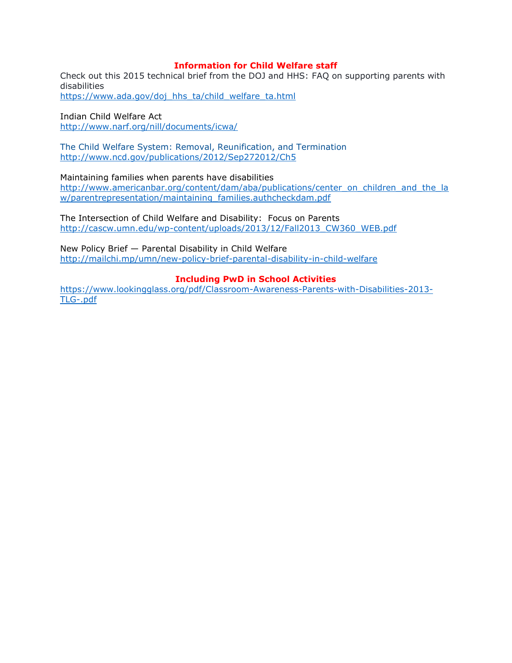## **Information for Child Welfare staff**

Check out this 2015 technical brief from the DOJ and HHS: FAQ on supporting parents with disabilities [https://www.ada.gov/doj\\_hhs\\_ta/child\\_welfare\\_ta.html](https://www.ada.gov/doj_hhs_ta/child_welfare_ta.html)

Indian Child Welfare Act <http://www.narf.org/nill/documents/icwa/>

The Child Welfare System: Removal, Reunification, and Termination <http://www.ncd.gov/publications/2012/Sep272012/Ch5>

Maintaining families when parents have disabilities [http://www.americanbar.org/content/dam/aba/publications/center\\_on\\_children\\_and\\_the\\_la](http://www.americanbar.org/content/dam/aba/publications/center_on_children_and_the_law/parentrepresentation/maintaining_families.authcheckdam.pdf) [w/parentrepresentation/maintaining\\_families.authcheckdam.pdf](http://www.americanbar.org/content/dam/aba/publications/center_on_children_and_the_law/parentrepresentation/maintaining_families.authcheckdam.pdf)

The Intersection of Child Welfare and Disability: Focus on Parents [http://cascw.umn.edu/wp-content/uploads/2013/12/Fall2013\\_CW360\\_WEB.pdf](http://cascw.umn.edu/wp-content/uploads/2013/12/Fall2013_CW360_WEB.pdf)

New Policy Brief — Parental Disability in Child Welfare <http://mailchi.mp/umn/new-policy-brief-parental-disability-in-child-welfare>

## **Including PwD in School Activities**

[https://www.lookingglass.org/pdf/Classroom-Awareness-Parents-with-Disabilities-2013-](https://www.lookingglass.org/pdf/Classroom-Awareness-Parents-with-Disabilities-2013-TLG-.pdf) [TLG-.pdf](https://www.lookingglass.org/pdf/Classroom-Awareness-Parents-with-Disabilities-2013-TLG-.pdf)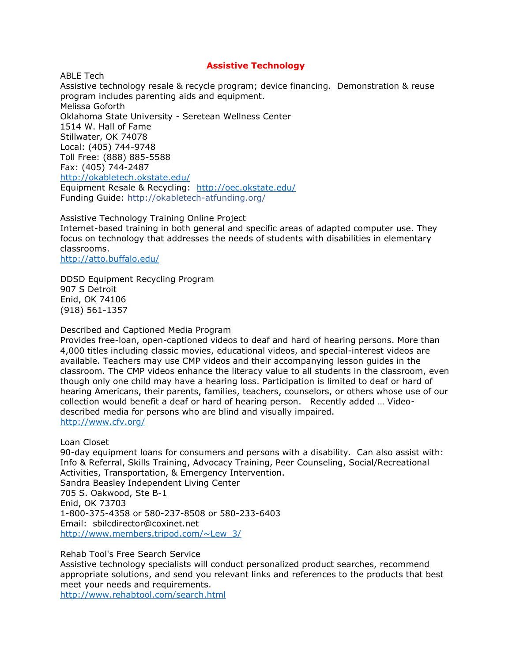## **Assistive Technology**

ABLE Tech Assistive technology resale & recycle program; device financing. Demonstration & reuse program includes parenting aids and equipment. Melissa Goforth Oklahoma State University - Seretean Wellness Center 1514 W. Hall of Fame Stillwater, OK 74078 Local: (405) 744-9748 Toll Free: (888) 885-5588 Fax: (405) 744-2487 <http://okabletech.okstate.edu/> Equipment Resale & Recycling: <http://oec.okstate.edu/> Funding Guide: [http://okabletech-atfunding.org/](https://l.facebook.com/l.php?u=http%3A%2F%2Fokabletech-atfunding.org%2F&h=ATNaB9zeFksLb6SwJSNXPbuwYvtOeBHytmneZBQMhMmfn-6p6aVtNxGJGoAxkbDnwfs9dS1ysF_fJgIPxXyJaJvzzrJqrwF6biRTUJig6lXQrZBRyn3-OGo2zARbaXqfvyD59RsHeC8ykE_1wYZ14kA4BDRwn3B7NuDQVj7IhnjRqtguDnLSamPmC2s6NgkUUCgjuf3wQ0rFLPHkx9op0HGJ91EIkIKyqwMFMqf4A5GmPj3Uy_83-litCw44i2HhpBC1OxE81f7pP51KZHznQRdnViYFOaGuIqrWNUk)

Assistive Technology Training Online Project Internet-based training in both general and specific areas of adapted computer use. They focus on technology that addresses the needs of students with disabilities in elementary classrooms. <http://atto.buffalo.edu/>

DDSD Equipment Recycling Program 907 S Detroit Enid, OK 74106

(918) 561-1357

Described and Captioned Media Program

Provides free-loan, open-captioned videos to deaf and hard of hearing persons. More than 4,000 titles including classic movies, educational videos, and special-interest videos are available. Teachers may use CMP videos and their accompanying lesson guides in the classroom. The CMP videos enhance the literacy value to all students in the classroom, even though only one child may have a hearing loss. Participation is limited to deaf or hard of hearing Americans, their parents, families, teachers, counselors, or others whose use of our collection would benefit a deaf or hard of hearing person. Recently added … Videodescribed media for persons who are blind and visually impaired. <http://www.cfv.org/>

Loan Closet

90-day equipment loans for consumers and persons with a disability. Can also assist with: Info & Referral, Skills Training, Advocacy Training, Peer Counseling, Social/Recreational Activities, Transportation, & Emergency Intervention. Sandra Beasley Independent Living Center 705 S. Oakwood, Ste B-1 Enid, OK 73703 1-800-375-4358 or 580-237-8508 or 580-233-6403 Email: sbilcdirector@coxinet.net [http://www.members.tripod.com/~Lew\\_3/](http://www.members.tripod.com/~Lew_3/)

Rehab Tool's Free Search Service

Assistive technology specialists will conduct personalized product searches, recommend appropriate solutions, and send you relevant links and references to the products that best meet your needs and requirements.

<http://www.rehabtool.com/search.html>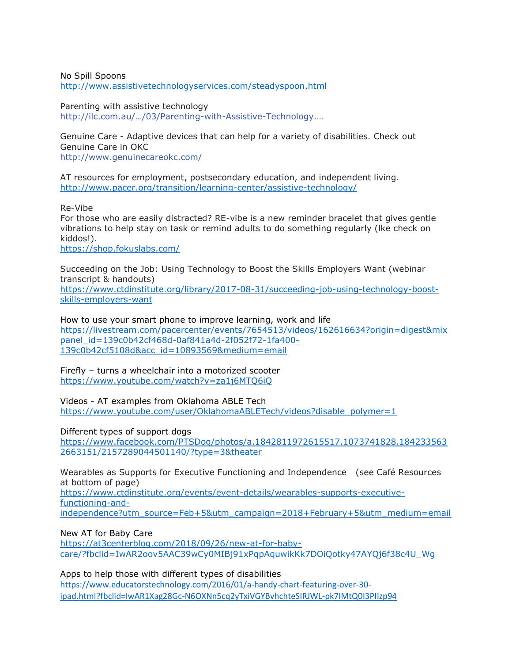No Spill Spoons http://www.assistivetechnologyservices.com/steadyspoon.html

Parenting with assistive technology [http://ilc.com.au/…/03/Parenting](http://ilc.com.au/wp-content/uploads/2015/03/Parenting-with-Assistive-Technology.pdf)-with-Assistive-Technology.…

Genuine Care - Adaptive devices that can help for a variety of disabilities. Check out Genuine Care in OKC <http://www.genuinecareokc.com/>

AT resources for employment, postsecondary education, and independent living. <http://www.pacer.org/transition/learning-center/assistive-technology/>

Re-Vibe For those who are easily distracted? RE-vibe is a new reminder bracelet that gives gentle vibrations to help stay on task or remind adults to do something regularly (lke check on kiddos!).

<https://shop.fokuslabs.com/>

Succeeding on the Job: Using Technology to Boost the Skills Employers Want (webinar transcript & handouts) [https://www.ctdinstitute.org/library/2017-08-31/succeeding-job-using-technology-boost](https://www.ctdinstitute.org/library/2017-08-31/succeeding-job-using-technology-boost-skills-employers-want)[skills-employers-want](https://www.ctdinstitute.org/library/2017-08-31/succeeding-job-using-technology-boost-skills-employers-want)

How to use your smart phone to improve learning, work and life [https://livestream.com/pacercenter/events/7654513/videos/162616634?origin=digest&mix](https://livestream.com/pacercenter/events/7654513/videos/162616634?origin=digest&mixpanel_id=139c0b42cf468d-0af841a4d-2f052f72-1fa400-139c0b42cf5108d&acc_id=10893569&medium=email) [panel\\_id=139c0b42cf468d-0af841a4d-2f052f72-1fa400-](https://livestream.com/pacercenter/events/7654513/videos/162616634?origin=digest&mixpanel_id=139c0b42cf468d-0af841a4d-2f052f72-1fa400-139c0b42cf5108d&acc_id=10893569&medium=email) [139c0b42cf5108d&acc\\_id=10893569&medium=email](https://livestream.com/pacercenter/events/7654513/videos/162616634?origin=digest&mixpanel_id=139c0b42cf468d-0af841a4d-2f052f72-1fa400-139c0b42cf5108d&acc_id=10893569&medium=email)

Firefly – turns a wheelchair into a motorized scooter <https://www.youtube.com/watch?v=za1j6MTQ6iQ>

Videos - AT examples from Oklahoma ABLE Tech [https://www.youtube.com/user/OklahomaABLETech/videos?disable\\_polymer=1](https://www.youtube.com/user/OklahomaABLETech/videos?disable_polymer=1)

Different types of support dogs

[https://www.facebook.com/PTSDog/photos/a.1842811972615517.1073741828.184233563](https://www.facebook.com/PTSDog/photos/a.1842811972615517.1073741828.1842335632663151/2157289044501140/?type=3&theater) [2663151/2157289044501140/?type=3&theater](https://www.facebook.com/PTSDog/photos/a.1842811972615517.1073741828.1842335632663151/2157289044501140/?type=3&theater)

Wearables as Supports for Executive Functioning and Independence (see Café Resources at bottom of page)

[https://www.ctdinstitute.org/events/event-details/wearables-supports-executive](https://www.ctdinstitute.org/events/event-details/wearables-supports-executive-functioning-and-independence?utm_source=Feb+5&utm_campaign=2018+February+5&utm_medium=email)[functioning-and](https://www.ctdinstitute.org/events/event-details/wearables-supports-executive-functioning-and-independence?utm_source=Feb+5&utm_campaign=2018+February+5&utm_medium=email)[independence?utm\\_source=Feb+5&utm\\_campaign=2018+February+5&utm\\_medium=email](https://www.ctdinstitute.org/events/event-details/wearables-supports-executive-functioning-and-independence?utm_source=Feb+5&utm_campaign=2018+February+5&utm_medium=email)

New AT for Baby Care

[https://at3centerblog.com/2018/09/26/new-at-for-baby](https://at3centerblog.com/2018/09/26/new-at-for-baby-care/?fbclid=IwAR2oov5AAC39wCy0MIBj91xPqpAquwikKk7DOiQotky47AYQj6f38c4U_Wg)[care/?fbclid=IwAR2oov5AAC39wCy0MIBj91xPqpAquwikKk7DOiQotky47AYQj6f38c4U\\_Wg](https://at3centerblog.com/2018/09/26/new-at-for-baby-care/?fbclid=IwAR2oov5AAC39wCy0MIBj91xPqpAquwikKk7DOiQotky47AYQj6f38c4U_Wg)

Apps to help those with different types of disabilities [https://www.educatorstechnology.com/2016/01/a-handy-chart-featuring-over-30](https://www.educatorstechnology.com/2016/01/a-handy-chart-featuring-over-30-ipad.html?fbclid=IwAR1Xag28Gc-N6OXNn5cq2yTxiVGYBvhchteSIRJWL-pk7IMtQ0I3PIIzp94) [ipad.html?fbclid=IwAR1Xag28Gc-N6OXNn5cq2yTxiVGYBvhchteSIRJWL-pk7IMtQ0I3PIIzp94](https://www.educatorstechnology.com/2016/01/a-handy-chart-featuring-over-30-ipad.html?fbclid=IwAR1Xag28Gc-N6OXNn5cq2yTxiVGYBvhchteSIRJWL-pk7IMtQ0I3PIIzp94)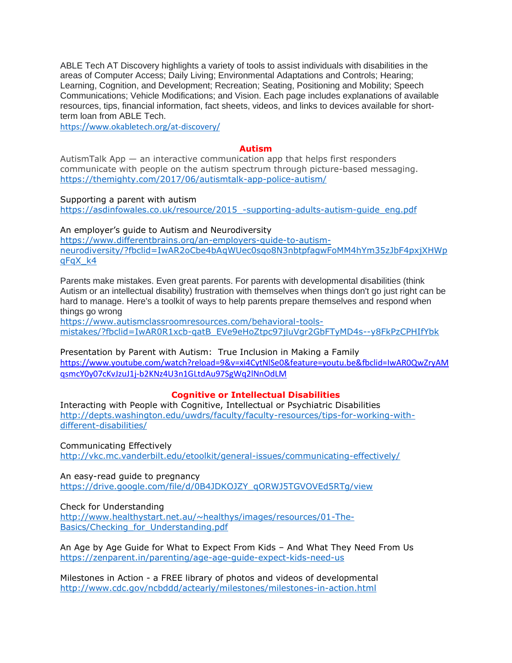ABLE Tech AT Discovery highlights a variety of tools to assist individuals with disabilities in the areas of Computer Access; Daily Living; Environmental Adaptations and Controls; Hearing; Learning, Cognition, and Development; Recreation; Seating, Positioning and Mobility; Speech Communications; Vehicle Modifications; and Vision. Each page includes explanations of available resources, tips, financial information, fact sheets, videos, and links to devices available for shortterm loan from ABLE Tech.

<https://www.okabletech.org/at-discovery/>

#### **Autism**

AutismTalk App — an interactive communication app that helps first responders communicate with people on the autism spectrum through picture-based messaging. <https://themighty.com/2017/06/autismtalk-app-police-autism/>

Supporting a parent with autism [https://asdinfowales.co.uk/resource/2015\\_-supporting-adults-autism-guide\\_eng.pdf](https://asdinfowales.co.uk/resource/2015_-supporting-adults-autism-guide_eng.pdf)

An employer's guide to Autism and Neurodiversity [https://www.differentbrains.org/an-employers-guide-to-autism](https://www.differentbrains.org/an-employers-guide-to-autism-neurodiversity/?fbclid=IwAR2oCbe4bAqWUec0sqo8N3nbtpfagwFoMM4hYm35zJbF4pxjXHWpqFqX_k4)[neurodiversity/?fbclid=IwAR2oCbe4bAqWUec0sqo8N3nbtpfagwFoMM4hYm35zJbF4pxjXHWp](https://www.differentbrains.org/an-employers-guide-to-autism-neurodiversity/?fbclid=IwAR2oCbe4bAqWUec0sqo8N3nbtpfagwFoMM4hYm35zJbF4pxjXHWpqFqX_k4) [qFqX\\_k4](https://www.differentbrains.org/an-employers-guide-to-autism-neurodiversity/?fbclid=IwAR2oCbe4bAqWUec0sqo8N3nbtpfagwFoMM4hYm35zJbF4pxjXHWpqFqX_k4)

Parents make mistakes. Even great parents. For parents with developmental disabilities (think Autism or an intellectual disability) frustration with themselves when things don't go just right can be hard to manage. Here's a toolkit of ways to help parents prepare themselves and respond when things go wrong

[https://www.autismclassroomresources.com/behavioral-tools](https://www.autismclassroomresources.com/behavioral-tools-mistakes/?fbclid=IwAR0R1xcb-qatB_EVe9eHoZtpc97jluVgr2GbFTyMD4s--y8FkPzCPHIfYbk)[mistakes/?fbclid=IwAR0R1xcb-qatB\\_EVe9eHoZtpc97jluVgr2GbFTyMD4s--y8FkPzCPHIfYbk](https://www.autismclassroomresources.com/behavioral-tools-mistakes/?fbclid=IwAR0R1xcb-qatB_EVe9eHoZtpc97jluVgr2GbFTyMD4s--y8FkPzCPHIfYbk)

Presentation by Parent with Autism: True Inclusion in Making a Family [https://www.youtube.com/watch?reload=9&v=xi4CytNlSe0&feature=youtu.be&fbclid=IwAR0QwZryAM](https://www.youtube.com/watch?reload=9&v=xi4CytNlSe0&feature=youtu.be&fbclid=IwAR0QwZryAMqsmcY0y07cKvJzuJ1j-b2KNz4U3n1GLtdAu97SgWq2lNnOdLM) [qsmcY0y07cKvJzuJ1j-b2KNz4U3n1GLtdAu97SgWq2lNnOdLM](https://www.youtube.com/watch?reload=9&v=xi4CytNlSe0&feature=youtu.be&fbclid=IwAR0QwZryAMqsmcY0y07cKvJzuJ1j-b2KNz4U3n1GLtdAu97SgWq2lNnOdLM)

## **Cognitive or Intellectual Disabilities**

Interacting with People with Cognitive, Intellectual or Psychiatric Disabilities [http://depts.washington.edu/uwdrs/faculty/faculty-resources/tips-for-working-with](http://depts.washington.edu/uwdrs/faculty/faculty-resources/tips-for-working-with-different-disabilities/)[different-disabilities/](http://depts.washington.edu/uwdrs/faculty/faculty-resources/tips-for-working-with-different-disabilities/)

Communicating Effectively <http://vkc.mc.vanderbilt.edu/etoolkit/general-issues/communicating-effectively/>

An easy-read guide to pregnancy [https://drive.google.com/file/d/0B4JDKOJZY\\_qORWJ5TGVOVEd5RTg/view](https://drive.google.com/file/d/0B4JDKOJZY_qORWJ5TGVOVEd5RTg/view)

Check for Understanding

[http://www.healthystart.net.au/~healthys/images/resources/01-The-](http://www.healthystart.net.au/~healthys/images/resources/01-The-Basics/Checking_for_Understanding.pdf)[Basics/Checking\\_for\\_Understanding.pdf](http://www.healthystart.net.au/~healthys/images/resources/01-The-Basics/Checking_for_Understanding.pdf)

An Age by Age Guide for What to Expect From Kids – And What They Need From Us <https://zenparent.in/parenting/age-age-guide-expect-kids-need-us>

Milestones in Action - a FREE library of photos and videos of developmental <http://www.cdc.gov/ncbddd/actearly/milestones/milestones-in-action.html>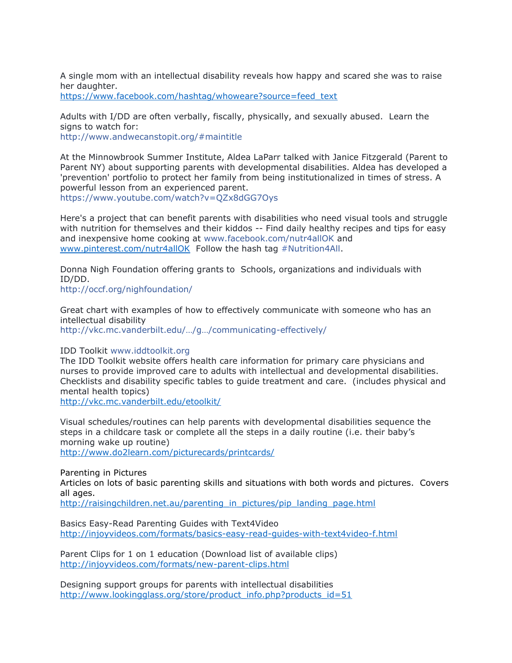A single mom with an intellectual disability reveals how happy and scared she was to raise her daughter. [https://www.facebook.com/hashtag/whoweare?source=feed\\_text](https://www.facebook.com/hashtag/whoweare?source=feed_text)

Adults with I/DD are often verbally, fiscally, physically, and sexually abused. Learn the signs to watch for: <http://www.andwecanstopit.org/#maintitle>

At the Minnowbrook Summer Institute, Aldea LaParr talked with Janice Fitzgerald (Parent to Parent NY) about supporting parents with developmental disabilities. Aldea has developed a 'prevention' portfolio to protect her family from being institutionalized in times of stress. A powerful lesson from an experienced parent. <https://www.youtube.com/watch?v=QZx8dGG7Oys>

Here's a project that can benefit parents with disabilities who need visual tools and struggle with nutrition for themselves and their kiddos -- Find daily healthy recipes and tips for easy and inexpensive home cooking at [www.facebook.com/nutr4allOK](https://www.facebook.com/nutr4allOK) and [www.pinterest.com/nutr4allOK](http://www.pinterest.com/nutr4allOK) Follow the hash tag [#Nutrition4All.](https://www.facebook.com/hashtag/nutrition4all?source=feed_text&story_id=334404583567402)

Donna Nigh Foundation offering grants to Schools, organizations and individuals with ID/DD.

[http://occf.org/nighfoundation/](http://l.facebook.com/l.php?u=http%3A%2F%2Foccf.org%2Fnighfoundation%2F&h=fAQEPYdMlAQFb9CM9ce7MbdmfQ6Ao9mEquQeNmcucsauCrA&enc=AZPSRoBHhd7_JiyK01pw35NDp-OCwjlEv22UrBaYcSZHjGx28qW73dwPX__DDkDzr-j48g0_Vbf_0BaHMYTm_fhpq5qbsO7MFQly9schxAq6s242dcCJQTAx-T2qeHMskqpPnN2C4--f3we6J3o1NSLJmyOTSDkpIwpLNkQI3Zo0AcV4h5o2sxq8XlGgIBz18ZgI91yDQd6C0VJsW_8URhiR&s=1)

Great chart with examples of how to effectively communicate with someone who has an intellectual disability [http://vkc.mc.vanderbilt.edu/…/g…/communicating](http://vkc.mc.vanderbilt.edu/etoolkit/general-issues/communicating-effectively/)-effectively/

IDD Toolkit [www.iddtoolkit.org](http://www.iddtoolkit.org/)

The IDD Toolkit website offers health care information for primary care physicians and nurses to provide improved care to adults with intellectual and developmental disabilities. Checklists and disability specific tables to guide treatment and care. (includes physical and mental health topics)

<http://vkc.mc.vanderbilt.edu/etoolkit/>

Visual schedules/routines can help parents with developmental disabilities sequence the steps in a childcare task or complete all the steps in a daily routine (i.e. their baby's morning wake up routine) <http://www.do2learn.com/picturecards/printcards/>

Parenting in Pictures

Articles on lots of basic parenting skills and situations with both words and pictures. Covers all ages.

[http://raisingchildren.net.au/parenting\\_in\\_pictures/pip\\_landing\\_page.html](http://raisingchildren.net.au/parenting_in_pictures/pip_landing_page.html)

Basics Easy-Read Parenting Guides with Text4Video <http://injoyvideos.com/formats/basics-easy-read-guides-with-text4video-f.html>

Parent Clips for 1 on 1 education (Download list of available clips) <http://injoyvideos.com/formats/new-parent-clips.html>

Designing support groups for parents with intellectual disabilities [http://www.lookingglass.org/store/product\\_info.php?products\\_id=51](http://www.lookingglass.org/store/product_info.php?products_id=51)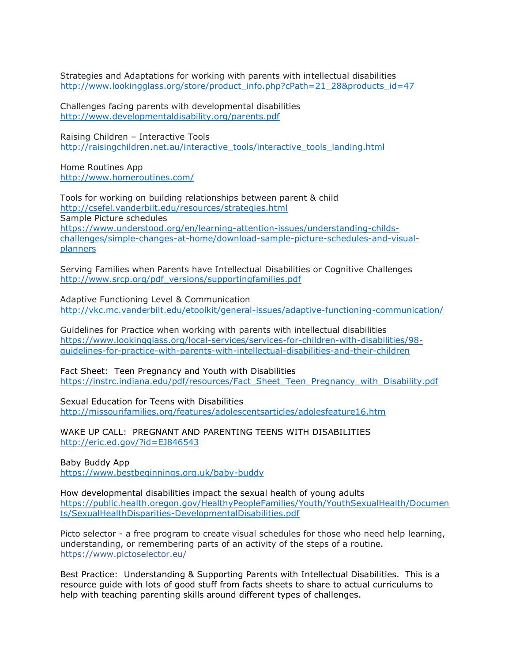Strategies and Adaptations for working with parents with intellectual disabilities [http://www.lookingglass.org/store/product\\_info.php?cPath=21\\_28&products\\_id=47](http://www.lookingglass.org/store/product_info.php?cPath=21_28&products_id=47)

Challenges facing parents with developmental disabilities <http://www.developmentaldisability.org/parents.pdf>

Raising Children – Interactive Tools [http://raisingchildren.net.au/interactive\\_tools/interactive\\_tools\\_landing.html](http://raisingchildren.net.au/interactive_tools/interactive_tools_landing.html)

Home Routines App <http://www.homeroutines.com/>

Tools for working on building relationships between parent & child <http://csefel.vanderbilt.edu/resources/strategies.html> Sample Picture schedules [https://www.understood.org/en/learning-attention-issues/understanding-childs](https://www.understood.org/en/learning-attention-issues/understanding-childs-challenges/simple-changes-at-home/download-sample-picture-schedules-and-visual-planners)[challenges/simple-changes-at-home/download-sample-picture-schedules-and-visual](https://www.understood.org/en/learning-attention-issues/understanding-childs-challenges/simple-changes-at-home/download-sample-picture-schedules-and-visual-planners)[planners](https://www.understood.org/en/learning-attention-issues/understanding-childs-challenges/simple-changes-at-home/download-sample-picture-schedules-and-visual-planners)

Serving Families when Parents have Intellectual Disabilities or Cognitive Challenges [http://www.srcp.org/pdf\\_versions/supportingfamilies.pdf](http://www.srcp.org/pdf_versions/supportingfamilies.pdf)

Adaptive Functioning Level & Communication <http://vkc.mc.vanderbilt.edu/etoolkit/general-issues/adaptive-functioning-communication/>

Guidelines for Practice when working with parents with intellectual disabilities [https://www.lookingglass.org/local-services/services-for-children-with-disabilities/98](https://www.lookingglass.org/local-services/services-for-children-with-disabilities/98-guidelines-for-practice-with-parents-with-intellectual-disabilities-and-their-children) [guidelines-for-practice-with-parents-with-intellectual-disabilities-and-their-children](https://www.lookingglass.org/local-services/services-for-children-with-disabilities/98-guidelines-for-practice-with-parents-with-intellectual-disabilities-and-their-children)

Fact Sheet: Teen Pregnancy and Youth with Disabilities [https://instrc.indiana.edu/pdf/resources/Fact\\_Sheet\\_Teen\\_Pregnancy\\_with\\_Disability.pdf](https://instrc.indiana.edu/pdf/resources/Fact_Sheet_Teen_Pregnancy_with_Disability.pdf)

Sexual Education for Teens with Disabilities <http://missourifamilies.org/features/adolescentsarticles/adolesfeature16.htm>

WAKE UP CALL: PREGNANT AND PARENTING TEENS WITH DISABILITIES <http://eric.ed.gov/?id=EJ846543>

Baby Buddy App <https://www.bestbeginnings.org.uk/baby-buddy>

How developmental disabilities impact the sexual health of young adults [https://public.health.oregon.gov/HealthyPeopleFamilies/Youth/YouthSexualHealth/Documen](https://public.health.oregon.gov/HealthyPeopleFamilies/Youth/YouthSexualHealth/Documents/SexualHealthDisparities-DevelopmentalDisabilities.pdf) [ts/SexualHealthDisparities-DevelopmentalDisabilities.pdf](https://public.health.oregon.gov/HealthyPeopleFamilies/Youth/YouthSexualHealth/Documents/SexualHealthDisparities-DevelopmentalDisabilities.pdf)

Picto selector - a free program to create visual schedules for those who need help learning, understanding, or remembering parts of an activity of the steps of a routine. <https://www.pictoselector.eu/>

Best Practice: Understanding & Supporting Parents with Intellectual Disabilities. This is a resource guide with lots of good stuff from facts sheets to share to actual curriculums to help with teaching parenting skills around different types of challenges.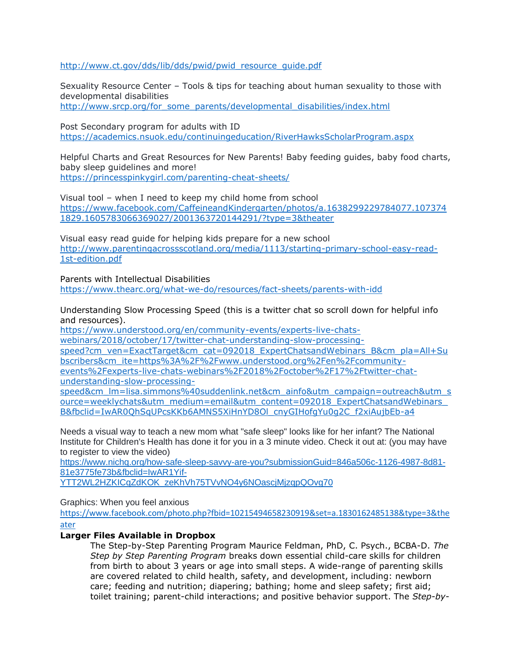[http://www.ct.gov/dds/lib/dds/pwid/pwid\\_resource\\_guide.pdf](http://www.ct.gov/dds/lib/dds/pwid/pwid_resource_guide.pdf)

Sexuality Resource Center – Tools & tips for teaching about human sexuality to those with developmental disabilities [http://www.srcp.org/for\\_some\\_parents/developmental\\_disabilities/index.html](http://www.srcp.org/for_some_parents/developmental_disabilities/index.html)

Post Secondary program for adults with ID <https://academics.nsuok.edu/continuingeducation/RiverHawksScholarProgram.aspx>

Helpful Charts and Great Resources for New Parents! Baby feeding guides, baby food charts, baby sleep guidelines and more! <https://princesspinkygirl.com/parenting-cheat-sheets/>

Visual tool – when I need to keep my child home from school [https://www.facebook.com/CaffeineandKindergarten/photos/a.1638299229784077.107374](https://www.facebook.com/CaffeineandKindergarten/photos/a.1638299229784077.1073741829.1605783066369027/2001363720144291/?type=3&theater) [1829.1605783066369027/2001363720144291/?type=3&theater](https://www.facebook.com/CaffeineandKindergarten/photos/a.1638299229784077.1073741829.1605783066369027/2001363720144291/?type=3&theater)

Visual easy read guide for helping kids prepare for a new school [http://www.parentingacrossscotland.org/media/1113/starting-primary-school-easy-read-](http://www.parentingacrossscotland.org/media/1113/starting-primary-school-easy-read-1st-edition.pdf)[1st-edition.pdf](http://www.parentingacrossscotland.org/media/1113/starting-primary-school-easy-read-1st-edition.pdf)

Parents with Intellectual Disabilities <https://www.thearc.org/what-we-do/resources/fact-sheets/parents-with-idd>

Understanding Slow Processing Speed (this is a twitter chat so scroll down for helpful info and resources).

[https://www.understood.org/en/community-events/experts-live-chats](https://www.understood.org/en/community-events/experts-live-chats-webinars/2018/october/17/twitter-chat-understanding-slow-processing-speed?cm_ven=ExactTarget&cm_cat=092018_ExpertChatsandWebinars_B&cm_pla=All+Subscribers&cm_ite=https%3A%2F%2Fwww.understood.org%2Fen%2Fcommunity-events%2Fexperts-live-chats-webinars%2F2018%2Foctober%2F17%2Ftwitter-chat-understanding-slow-processing-speed&cm_lm=lisa.simmons%40suddenlink.net&cm_ainfo&utm_campaign=outreach&utm_source=weeklychats&utm_medium=email&utm_content=092018_ExpertChatsandWebinars_B&fbclid=IwAR0QhSqUPcsKKb6AMNS5XiHnYD8Ol_cnyGIHofgYu0g2C_f2xiAujbEb-a4)[webinars/2018/october/17/twitter-chat-understanding-slow-processing-](https://www.understood.org/en/community-events/experts-live-chats-webinars/2018/october/17/twitter-chat-understanding-slow-processing-speed?cm_ven=ExactTarget&cm_cat=092018_ExpertChatsandWebinars_B&cm_pla=All+Subscribers&cm_ite=https%3A%2F%2Fwww.understood.org%2Fen%2Fcommunity-events%2Fexperts-live-chats-webinars%2F2018%2Foctober%2F17%2Ftwitter-chat-understanding-slow-processing-speed&cm_lm=lisa.simmons%40suddenlink.net&cm_ainfo&utm_campaign=outreach&utm_source=weeklychats&utm_medium=email&utm_content=092018_ExpertChatsandWebinars_B&fbclid=IwAR0QhSqUPcsKKb6AMNS5XiHnYD8Ol_cnyGIHofgYu0g2C_f2xiAujbEb-a4)

[speed?cm\\_ven=ExactTarget&cm\\_cat=092018\\_ExpertChatsandWebinars\\_B&cm\\_pla=All+Su](https://www.understood.org/en/community-events/experts-live-chats-webinars/2018/october/17/twitter-chat-understanding-slow-processing-speed?cm_ven=ExactTarget&cm_cat=092018_ExpertChatsandWebinars_B&cm_pla=All+Subscribers&cm_ite=https%3A%2F%2Fwww.understood.org%2Fen%2Fcommunity-events%2Fexperts-live-chats-webinars%2F2018%2Foctober%2F17%2Ftwitter-chat-understanding-slow-processing-speed&cm_lm=lisa.simmons%40suddenlink.net&cm_ainfo&utm_campaign=outreach&utm_source=weeklychats&utm_medium=email&utm_content=092018_ExpertChatsandWebinars_B&fbclid=IwAR0QhSqUPcsKKb6AMNS5XiHnYD8Ol_cnyGIHofgYu0g2C_f2xiAujbEb-a4) [bscribers&cm\\_ite=https%3A%2F%2Fwww.understood.org%2Fen%2Fcommunity](https://www.understood.org/en/community-events/experts-live-chats-webinars/2018/october/17/twitter-chat-understanding-slow-processing-speed?cm_ven=ExactTarget&cm_cat=092018_ExpertChatsandWebinars_B&cm_pla=All+Subscribers&cm_ite=https%3A%2F%2Fwww.understood.org%2Fen%2Fcommunity-events%2Fexperts-live-chats-webinars%2F2018%2Foctober%2F17%2Ftwitter-chat-understanding-slow-processing-speed&cm_lm=lisa.simmons%40suddenlink.net&cm_ainfo&utm_campaign=outreach&utm_source=weeklychats&utm_medium=email&utm_content=092018_ExpertChatsandWebinars_B&fbclid=IwAR0QhSqUPcsKKb6AMNS5XiHnYD8Ol_cnyGIHofgYu0g2C_f2xiAujbEb-a4)[events%2Fexperts-live-chats-webinars%2F2018%2Foctober%2F17%2Ftwitter-chat-](https://www.understood.org/en/community-events/experts-live-chats-webinars/2018/october/17/twitter-chat-understanding-slow-processing-speed?cm_ven=ExactTarget&cm_cat=092018_ExpertChatsandWebinars_B&cm_pla=All+Subscribers&cm_ite=https%3A%2F%2Fwww.understood.org%2Fen%2Fcommunity-events%2Fexperts-live-chats-webinars%2F2018%2Foctober%2F17%2Ftwitter-chat-understanding-slow-processing-speed&cm_lm=lisa.simmons%40suddenlink.net&cm_ainfo&utm_campaign=outreach&utm_source=weeklychats&utm_medium=email&utm_content=092018_ExpertChatsandWebinars_B&fbclid=IwAR0QhSqUPcsKKb6AMNS5XiHnYD8Ol_cnyGIHofgYu0g2C_f2xiAujbEb-a4)

[understanding-slow-processing-](https://www.understood.org/en/community-events/experts-live-chats-webinars/2018/october/17/twitter-chat-understanding-slow-processing-speed?cm_ven=ExactTarget&cm_cat=092018_ExpertChatsandWebinars_B&cm_pla=All+Subscribers&cm_ite=https%3A%2F%2Fwww.understood.org%2Fen%2Fcommunity-events%2Fexperts-live-chats-webinars%2F2018%2Foctober%2F17%2Ftwitter-chat-understanding-slow-processing-speed&cm_lm=lisa.simmons%40suddenlink.net&cm_ainfo&utm_campaign=outreach&utm_source=weeklychats&utm_medium=email&utm_content=092018_ExpertChatsandWebinars_B&fbclid=IwAR0QhSqUPcsKKb6AMNS5XiHnYD8Ol_cnyGIHofgYu0g2C_f2xiAujbEb-a4)

[speed&cm\\_lm=lisa.simmons%40suddenlink.net&cm\\_ainfo&utm\\_campaign=outreach&utm\\_s](https://www.understood.org/en/community-events/experts-live-chats-webinars/2018/october/17/twitter-chat-understanding-slow-processing-speed?cm_ven=ExactTarget&cm_cat=092018_ExpertChatsandWebinars_B&cm_pla=All+Subscribers&cm_ite=https%3A%2F%2Fwww.understood.org%2Fen%2Fcommunity-events%2Fexperts-live-chats-webinars%2F2018%2Foctober%2F17%2Ftwitter-chat-understanding-slow-processing-speed&cm_lm=lisa.simmons%40suddenlink.net&cm_ainfo&utm_campaign=outreach&utm_source=weeklychats&utm_medium=email&utm_content=092018_ExpertChatsandWebinars_B&fbclid=IwAR0QhSqUPcsKKb6AMNS5XiHnYD8Ol_cnyGIHofgYu0g2C_f2xiAujbEb-a4) [ource=weeklychats&utm\\_medium=email&utm\\_content=092018\\_ExpertChatsandWebinars\\_](https://www.understood.org/en/community-events/experts-live-chats-webinars/2018/october/17/twitter-chat-understanding-slow-processing-speed?cm_ven=ExactTarget&cm_cat=092018_ExpertChatsandWebinars_B&cm_pla=All+Subscribers&cm_ite=https%3A%2F%2Fwww.understood.org%2Fen%2Fcommunity-events%2Fexperts-live-chats-webinars%2F2018%2Foctober%2F17%2Ftwitter-chat-understanding-slow-processing-speed&cm_lm=lisa.simmons%40suddenlink.net&cm_ainfo&utm_campaign=outreach&utm_source=weeklychats&utm_medium=email&utm_content=092018_ExpertChatsandWebinars_B&fbclid=IwAR0QhSqUPcsKKb6AMNS5XiHnYD8Ol_cnyGIHofgYu0g2C_f2xiAujbEb-a4) B&fbclid=IwAR0OhSqUPcsKKb6AMNS5XiHnYD8Ol\_cnyGIHofgYu0g2C\_f2xiAujbEb-a4

Needs a visual way to teach a new mom what "safe sleep" looks like for her infant? The National Institute for Children's Health has done it for you in a 3 minute video. Check it out at: (you may have to register to view the video)

[https://www.nichq.org/how-safe-sleep-savvy-are-you?submissionGuid=846a506c-1126-4987-8d81-](https://www.nichq.org/how-safe-sleep-savvy-are-you?submissionGuid=846a506c-1126-4987-8d81-81e3775fe73b&fbclid=IwAR1Yif-YTT2WL2HZKICqZdKOK_zeKhVh75TVvNO4y6NOascjMjzqpQOvg70) [81e3775fe73b&fbclid=IwAR1Yif-](https://www.nichq.org/how-safe-sleep-savvy-are-you?submissionGuid=846a506c-1126-4987-8d81-81e3775fe73b&fbclid=IwAR1Yif-YTT2WL2HZKICqZdKOK_zeKhVh75TVvNO4y6NOascjMjzqpQOvg70)

[YTT2WL2HZKICqZdKOK\\_zeKhVh75TVvNO4y6NOascjMjzqpQOvg70](https://www.nichq.org/how-safe-sleep-savvy-are-you?submissionGuid=846a506c-1126-4987-8d81-81e3775fe73b&fbclid=IwAR1Yif-YTT2WL2HZKICqZdKOK_zeKhVh75TVvNO4y6NOascjMjzqpQOvg70)

Graphics: When you feel anxious

[https://www.facebook.com/photo.php?fbid=10215494658230919&set=a.1830162485138&type=3&the](https://www.facebook.com/photo.php?fbid=10215494658230919&set=a.1830162485138&type=3&theater) [ater](https://www.facebook.com/photo.php?fbid=10215494658230919&set=a.1830162485138&type=3&theater)

## **Larger Files Available in Dropbox**

The Step-by-Step Parenting Program Maurice Feldman, PhD, C. Psych., BCBA-D. *The Step by Step Parenting Program* breaks down essential child-care skills for children from birth to about 3 years or age into small steps. A wide-range of parenting skills are covered related to child health, safety, and development, including: newborn care; feeding and nutrition; diapering; bathing; home and sleep safety; first aid; toilet training; parent-child interactions; and positive behavior support. The *Step-by-*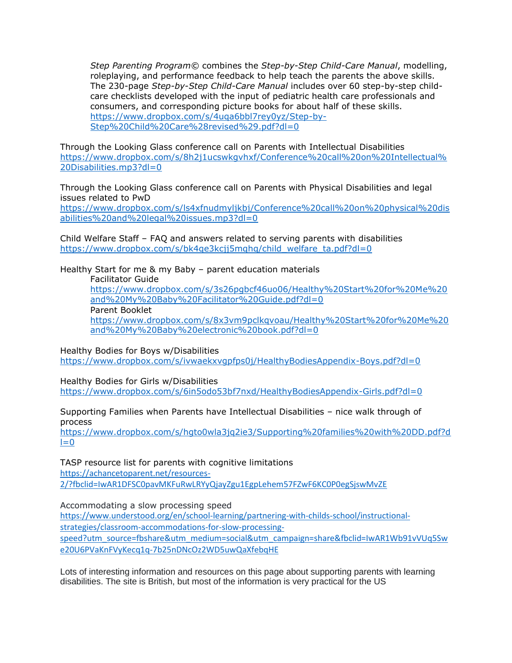*Step Parenting Program©* combines the *Step-by-Step Child-Care Manual*, modelling, roleplaying, and performance feedback to help teach the parents the above skills. The 230-page *Step-by-Step Child-Care Manual* includes over 60 step-by-step childcare checklists developed with the input of pediatric health care professionals and consumers, and corresponding picture books for about half of these skills. [https://www.dropbox.com/s/4uqa6bbl7rey0yz/Step-by-](https://www.dropbox.com/s/4uqa6bbl7rey0yz/Step-by-Step%20Child%20Care%28revised%29.pdf?dl=0)[Step%20Child%20Care%28revised%29.pdf?dl=0](https://www.dropbox.com/s/4uqa6bbl7rey0yz/Step-by-Step%20Child%20Care%28revised%29.pdf?dl=0)

Through the Looking Glass conference call on Parents with Intellectual Disabilities [https://www.dropbox.com/s/8h2j1ucswkgvhxf/Conference%20call%20on%20Intellectual%](https://www.dropbox.com/s/8h2j1ucswkgvhxf/Conference%20call%20on%20Intellectual%20Disabilities.mp3?dl=0) [20Disabilities.mp3?dl=0](https://www.dropbox.com/s/8h2j1ucswkgvhxf/Conference%20call%20on%20Intellectual%20Disabilities.mp3?dl=0)

Through the Looking Glass conference call on Parents with Physical Disabilities and legal issues related to PwD

[https://www.dropbox.com/s/ls4xfnudmyljkbj/Conference%20call%20on%20physical%20dis](https://www.dropbox.com/s/ls4xfnudmyljkbj/Conference%20call%20on%20physical%20disabilities%20and%20legal%20issues.mp3?dl=0) [abilities%20and%20legal%20issues.mp3?dl=0](https://www.dropbox.com/s/ls4xfnudmyljkbj/Conference%20call%20on%20physical%20disabilities%20and%20legal%20issues.mp3?dl=0)

Child Welfare Staff – FAQ and answers related to serving parents with disabilities [https://www.dropbox.com/s/bk4qe3kcjj5mqhq/child\\_welfare\\_ta.pdf?dl=0](https://www.dropbox.com/s/bk4qe3kcjj5mqhq/child_welfare_ta.pdf?dl=0)

Healthy Start for me & my Baby – parent education materials

Facilitator Guide

[https://www.dropbox.com/s/3s26pgbcf46uo06/Healthy%20Start%20for%20Me%20](https://www.dropbox.com/s/3s26pgbcf46uo06/Healthy%20Start%20for%20Me%20and%20My%20Baby%20Facilitator%20Guide.pdf?dl=0) [and%20My%20Baby%20Facilitator%20Guide.pdf?dl=0](https://www.dropbox.com/s/3s26pgbcf46uo06/Healthy%20Start%20for%20Me%20and%20My%20Baby%20Facilitator%20Guide.pdf?dl=0) Parent Booklet [https://www.dropbox.com/s/8x3vm9pclkqvoau/Healthy%20Start%20for%20Me%20](https://www.dropbox.com/s/8x3vm9pclkqvoau/Healthy%20Start%20for%20Me%20and%20My%20Baby%20electronic%20book.pdf?dl=0) [and%20My%20Baby%20electronic%20book.pdf?dl=0](https://www.dropbox.com/s/8x3vm9pclkqvoau/Healthy%20Start%20for%20Me%20and%20My%20Baby%20electronic%20book.pdf?dl=0)

Healthy Bodies for Boys w/Disabilities <https://www.dropbox.com/s/ivwaekxvgpfps0j/HealthyBodiesAppendix-Boys.pdf?dl=0>

Healthy Bodies for Girls w/Disabilities <https://www.dropbox.com/s/6in5odo53bf7nxd/HealthyBodiesAppendix-Girls.pdf?dl=0>

Supporting Families when Parents have Intellectual Disabilities – nice walk through of process

[https://www.dropbox.com/s/hgto0wla3jq2ie3/Supporting%20families%20with%20DD.pdf?d](https://www.dropbox.com/s/hgto0wla3jq2ie3/Supporting%20families%20with%20DD.pdf?dl=0)  $I=0$ 

TASP resource list for parents with cognitive limitations [https://achancetoparent.net/resources-](https://achancetoparent.net/resources-2/?fbclid=IwAR1DFSC0pavMKFuRwLRYyQjayZgu1EgpLehem57FZwF6KC0P0egSjswMvZE)[2/?fbclid=IwAR1DFSC0pavMKFuRwLRYyQjayZgu1EgpLehem57FZwF6KC0P0egSjswMvZE](https://achancetoparent.net/resources-2/?fbclid=IwAR1DFSC0pavMKFuRwLRYyQjayZgu1EgpLehem57FZwF6KC0P0egSjswMvZE)

Accommodating a slow processing speed

[https://www.understood.org/en/school-learning/partnering-with-childs-school/instructional](https://www.understood.org/en/school-learning/partnering-with-childs-school/instructional-strategies/classroom-accommodations-for-slow-processing-speed?utm_source=fbshare&utm_medium=social&utm_campaign=share&fbclid=IwAR1Wb91vVUq5Swe20U6PVaKnFVyKecq1q-7b25nDNcOz2WD5uwQaXfebqHE)[strategies/classroom-accommodations-for-slow-processing-](https://www.understood.org/en/school-learning/partnering-with-childs-school/instructional-strategies/classroom-accommodations-for-slow-processing-speed?utm_source=fbshare&utm_medium=social&utm_campaign=share&fbclid=IwAR1Wb91vVUq5Swe20U6PVaKnFVyKecq1q-7b25nDNcOz2WD5uwQaXfebqHE)

[speed?utm\\_source=fbshare&utm\\_medium=social&utm\\_campaign=share&fbclid=IwAR1Wb91vVUq5Sw](https://www.understood.org/en/school-learning/partnering-with-childs-school/instructional-strategies/classroom-accommodations-for-slow-processing-speed?utm_source=fbshare&utm_medium=social&utm_campaign=share&fbclid=IwAR1Wb91vVUq5Swe20U6PVaKnFVyKecq1q-7b25nDNcOz2WD5uwQaXfebqHE) [e20U6PVaKnFVyKecq1q-7b25nDNcOz2WD5uwQaXfebqHE](https://www.understood.org/en/school-learning/partnering-with-childs-school/instructional-strategies/classroom-accommodations-for-slow-processing-speed?utm_source=fbshare&utm_medium=social&utm_campaign=share&fbclid=IwAR1Wb91vVUq5Swe20U6PVaKnFVyKecq1q-7b25nDNcOz2WD5uwQaXfebqHE)

Lots of interesting information and resources on this page about supporting parents with learning disabilities. The site is British, but most of the information is very practical for the US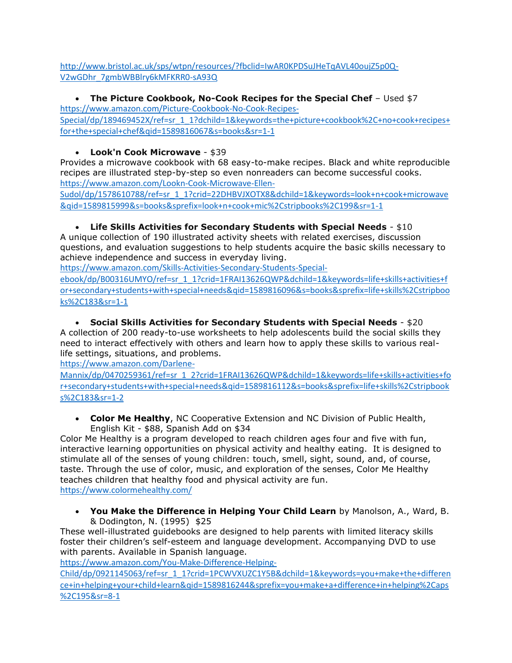[http://www.bristol.ac.uk/sps/wtpn/resources/?fbclid=IwAR0KPDSuJHeTqAVL40oujZ5p0Q-](http://www.bristol.ac.uk/sps/wtpn/resources/?fbclid=IwAR0KPDSuJHeTqAVL40oujZ5p0Q-V2wGDhr_7gmbWBBlry6kMFKRR0-sA93Q)[V2wGDhr\\_7gmbWBBlry6kMFKRR0-sA93Q](http://www.bristol.ac.uk/sps/wtpn/resources/?fbclid=IwAR0KPDSuJHeTqAVL40oujZ5p0Q-V2wGDhr_7gmbWBBlry6kMFKRR0-sA93Q)

• **The Picture Cookbook, No-Cook Recipes for the Special Chef** – Used \$7

[https://www.amazon.com/Picture-Cookbook-No-Cook-Recipes-](https://www.amazon.com/Picture-Cookbook-No-Cook-Recipes-Special/dp/189469452X/ref=sr_1_1?dchild=1&keywords=the+picture+cookbook%2C+no+cook+recipes+for+the+special+chef&qid=1589816067&s=books&sr=1-1)

[Special/dp/189469452X/ref=sr\\_1\\_1?dchild=1&keywords=the+picture+cookbook%2C+no+cook+recipes+](https://www.amazon.com/Picture-Cookbook-No-Cook-Recipes-Special/dp/189469452X/ref=sr_1_1?dchild=1&keywords=the+picture+cookbook%2C+no+cook+recipes+for+the+special+chef&qid=1589816067&s=books&sr=1-1) [for+the+special+chef&qid=1589816067&s=books&sr=1-1](https://www.amazon.com/Picture-Cookbook-No-Cook-Recipes-Special/dp/189469452X/ref=sr_1_1?dchild=1&keywords=the+picture+cookbook%2C+no+cook+recipes+for+the+special+chef&qid=1589816067&s=books&sr=1-1)

# • **Look'n Cook Microwave** - \$39

Provides a microwave cookbook with 68 easy-to-make recipes. Black and white reproducible recipes are illustrated step-by-step so even nonreaders can become successful cooks. [https://www.amazon.com/Lookn-Cook-Microwave-Ellen-](https://www.amazon.com/Lookn-Cook-Microwave-Ellen-Sudol/dp/1578610788/ref=sr_1_1?crid=22DHBVJXOTX8&dchild=1&keywords=look+n+cook+microwave&qid=1589815999&s=books&sprefix=look+n+cook+mic%2Cstripbooks%2C199&sr=1-1)

[Sudol/dp/1578610788/ref=sr\\_1\\_1?crid=22DHBVJXOTX8&dchild=1&keywords=look+n+cook+microwave](https://www.amazon.com/Lookn-Cook-Microwave-Ellen-Sudol/dp/1578610788/ref=sr_1_1?crid=22DHBVJXOTX8&dchild=1&keywords=look+n+cook+microwave&qid=1589815999&s=books&sprefix=look+n+cook+mic%2Cstripbooks%2C199&sr=1-1) [&qid=1589815999&s=books&sprefix=look+n+cook+mic%2Cstripbooks%2C199&sr=1-1](https://www.amazon.com/Lookn-Cook-Microwave-Ellen-Sudol/dp/1578610788/ref=sr_1_1?crid=22DHBVJXOTX8&dchild=1&keywords=look+n+cook+microwave&qid=1589815999&s=books&sprefix=look+n+cook+mic%2Cstripbooks%2C199&sr=1-1)

# • **Life Skills Activities for Secondary Students with Special Needs** - \$10

A unique collection of 190 illustrated activity sheets with related exercises, discussion questions, and evaluation suggestions to help students acquire the basic skills necessary to achieve independence and success in everyday living.

[https://www.amazon.com/Skills-Activities-Secondary-Students-Special-](https://www.amazon.com/Skills-Activities-Secondary-Students-Special-ebook/dp/B00316UMYO/ref=sr_1_1?crid=1FRAI13626QWP&dchild=1&keywords=life+skills+activities+for+secondary+students+with+special+needs&qid=1589816096&s=books&sprefix=life+skills%2Cstripbooks%2C183&sr=1-1)

[ebook/dp/B00316UMYO/ref=sr\\_1\\_1?crid=1FRAI13626QWP&dchild=1&keywords=life+skills+activities+f](https://www.amazon.com/Skills-Activities-Secondary-Students-Special-ebook/dp/B00316UMYO/ref=sr_1_1?crid=1FRAI13626QWP&dchild=1&keywords=life+skills+activities+for+secondary+students+with+special+needs&qid=1589816096&s=books&sprefix=life+skills%2Cstripbooks%2C183&sr=1-1) [or+secondary+students+with+special+needs&qid=1589816096&s=books&sprefix=life+skills%2Cstripboo](https://www.amazon.com/Skills-Activities-Secondary-Students-Special-ebook/dp/B00316UMYO/ref=sr_1_1?crid=1FRAI13626QWP&dchild=1&keywords=life+skills+activities+for+secondary+students+with+special+needs&qid=1589816096&s=books&sprefix=life+skills%2Cstripbooks%2C183&sr=1-1) [ks%2C183&sr=1-1](https://www.amazon.com/Skills-Activities-Secondary-Students-Special-ebook/dp/B00316UMYO/ref=sr_1_1?crid=1FRAI13626QWP&dchild=1&keywords=life+skills+activities+for+secondary+students+with+special+needs&qid=1589816096&s=books&sprefix=life+skills%2Cstripbooks%2C183&sr=1-1)

# • **Social Skills Activities for Secondary Students with Special Needs** - \$20

A collection of 200 ready-to-use worksheets to help adolescents build the social skills they need to interact effectively with others and learn how to apply these skills to various reallife settings, situations, and problems.

[https://www.amazon.com/Darlene-](https://www.amazon.com/Darlene-Mannix/dp/0470259361/ref=sr_1_2?crid=1FRAI13626QWP&dchild=1&keywords=life+skills+activities+for+secondary+students+with+special+needs&qid=1589816112&s=books&sprefix=life+skills%2Cstripbooks%2C183&sr=1-2)

[Mannix/dp/0470259361/ref=sr\\_1\\_2?crid=1FRAI13626QWP&dchild=1&keywords=life+skills+activities+fo](https://www.amazon.com/Darlene-Mannix/dp/0470259361/ref=sr_1_2?crid=1FRAI13626QWP&dchild=1&keywords=life+skills+activities+for+secondary+students+with+special+needs&qid=1589816112&s=books&sprefix=life+skills%2Cstripbooks%2C183&sr=1-2) [r+secondary+students+with+special+needs&qid=1589816112&s=books&sprefix=life+skills%2Cstripbook](https://www.amazon.com/Darlene-Mannix/dp/0470259361/ref=sr_1_2?crid=1FRAI13626QWP&dchild=1&keywords=life+skills+activities+for+secondary+students+with+special+needs&qid=1589816112&s=books&sprefix=life+skills%2Cstripbooks%2C183&sr=1-2) [s%2C183&sr=1-2](https://www.amazon.com/Darlene-Mannix/dp/0470259361/ref=sr_1_2?crid=1FRAI13626QWP&dchild=1&keywords=life+skills+activities+for+secondary+students+with+special+needs&qid=1589816112&s=books&sprefix=life+skills%2Cstripbooks%2C183&sr=1-2)

• **Color Me Healthy**, NC Cooperative Extension and NC Division of Public Health, English Kit - \$88, Spanish Add on \$34

Color Me Healthy is a program developed to reach children ages four and five with fun, interactive learning opportunities on physical activity and healthy eating. It is designed to stimulate all of the senses of young children: touch, smell, sight, sound, and, of course, taste. Through the use of color, music, and exploration of the senses, Color Me Healthy teaches children that healthy food and physical activity are fun. <https://www.colormehealthy.com/>

• **You Make the Difference in Helping Your Child Learn** by Manolson, A., Ward, B. & Dodington, N. (1995) \$25

These well-illustrated guidebooks are designed to help parents with limited literacy skills foster their children's self-esteem and language development. Accompanying DVD to use with parents. Available in Spanish language.

[https://www.amazon.com/You-Make-Difference-Helping-](https://www.amazon.com/You-Make-Difference-Helping-Child/dp/0921145063/ref=sr_1_1?crid=1PCWVXUZC1Y5B&dchild=1&keywords=you+make+the+difference+in+helping+your+child+learn&qid=1589816244&sprefix=you+make+a+difference+in+helping%2Caps%2C195&sr=8-1)

[Child/dp/0921145063/ref=sr\\_1\\_1?crid=1PCWVXUZC1Y5B&dchild=1&keywords=you+make+the+differen](https://www.amazon.com/You-Make-Difference-Helping-Child/dp/0921145063/ref=sr_1_1?crid=1PCWVXUZC1Y5B&dchild=1&keywords=you+make+the+difference+in+helping+your+child+learn&qid=1589816244&sprefix=you+make+a+difference+in+helping%2Caps%2C195&sr=8-1) [ce+in+helping+your+child+learn&qid=1589816244&sprefix=you+make+a+difference+in+helping%2Caps](https://www.amazon.com/You-Make-Difference-Helping-Child/dp/0921145063/ref=sr_1_1?crid=1PCWVXUZC1Y5B&dchild=1&keywords=you+make+the+difference+in+helping+your+child+learn&qid=1589816244&sprefix=you+make+a+difference+in+helping%2Caps%2C195&sr=8-1) [%2C195&sr=8-1](https://www.amazon.com/You-Make-Difference-Helping-Child/dp/0921145063/ref=sr_1_1?crid=1PCWVXUZC1Y5B&dchild=1&keywords=you+make+the+difference+in+helping+your+child+learn&qid=1589816244&sprefix=you+make+a+difference+in+helping%2Caps%2C195&sr=8-1)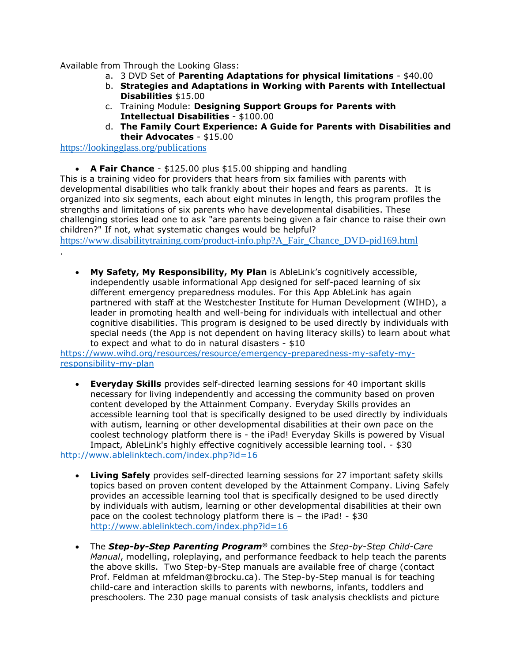Available from Through the Looking Glass:

- a. 3 DVD Set of **Parenting Adaptations for physical limitations** \$40.00
- b. **Strategies and Adaptations in Working with Parents with Intellectual Disabilities** \$15.00
- c. Training Module: **Designing Support Groups for Parents with Intellectual Disabilities** - \$100.00
- d. **The Family Court Experience: A Guide for Parents with Disabilities and their Advocates** - \$15.00

<https://lookingglass.org/publications>

.

• **A Fair Chance** - \$125.00 plus \$15.00 shipping and handling

This is a training video for providers that hears from six families with parents with developmental disabilities who talk frankly about their hopes and fears as parents. It is organized into six segments, each about eight minutes in length, this program profiles the strengths and limitations of six parents who have developmental disabilities. These challenging stories lead one to ask "are parents being given a fair chance to raise their own children?" If not, what systematic changes would be helpful?

[https://www.disabilitytraining.com/product-info.php?A\\_Fair\\_Chance\\_DVD-pid169.html](https://www.disabilitytraining.com/product-info.php?A_Fair_Chance_DVD-pid169.html)

• **My Safety, My Responsibility, My Plan** is AbleLink's cognitively accessible, independently usable informational App designed for self-paced learning of six different emergency preparedness modules. For this App AbleLink has again partnered with staff at the Westchester Institute for Human Development (WIHD), a leader in promoting health and well-being for individuals with intellectual and other cognitive disabilities. This program is designed to be used directly by individuals with special needs (the App is not dependent on having literacy skills) to learn about what to expect and what to do in natural disasters - \$10

[https://www.wihd.org/resources/resource/emergency-preparedness-my-safety-my](https://www.wihd.org/resources/resource/emergency-preparedness-my-safety-my-responsibility-my-plan)[responsibility-my-plan](https://www.wihd.org/resources/resource/emergency-preparedness-my-safety-my-responsibility-my-plan)

• **Everyday Skills** provides self-directed learning sessions for 40 important skills necessary for living independently and accessing the community based on proven content developed by the Attainment Company. Everyday Skills provides an accessible learning tool that is specifically designed to be used directly by individuals with autism, learning or other developmental disabilities at their own pace on the coolest technology platform there is - the iPad! Everyday Skills is powered by Visual Impact, AbleLink's highly effective cognitively accessible learning tool. - \$30

<http://www.ablelinktech.com/index.php?id=16>

- **Living Safely** provides self-directed learning sessions for 27 important safety skills topics based on proven content developed by the Attainment Company. Living Safely provides an accessible learning tool that is specifically designed to be used directly by individuals with autism, learning or other developmental disabilities at their own pace on the coolest technology platform there is – the iPad! - \$30 <http://www.ablelinktech.com/index.php?id=16>
- The *Step-by-Step Parenting Program©* combines the *Step-by-Step Child-Care Manual*, modelling, roleplaying, and performance feedback to help teach the parents the above skills. Two Step-by-Step manuals are available free of charge (contact Prof. Feldman at [mfeldman@brocku.ca\)](mailto:mfeldman@brocku.ca). The Step-by-Step manual is for teaching child-care and interaction skills to parents with newborns, infants, toddlers and preschoolers. The 230 page manual consists of task analysis checklists and picture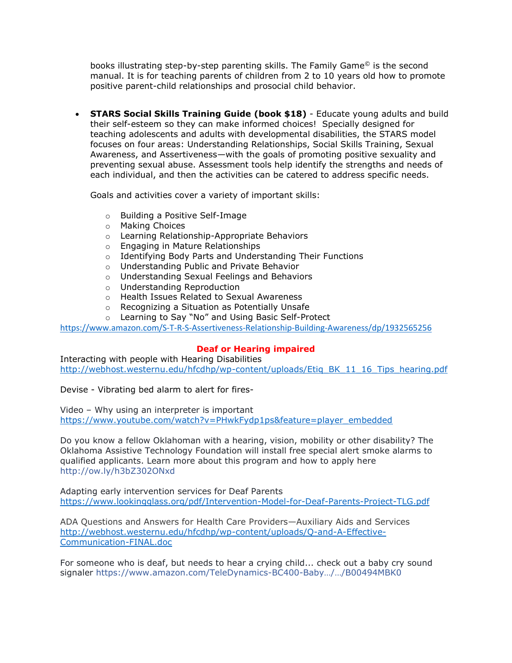books illustrating step-by-step parenting skills. The Family Game© is the second manual. It is for teaching parents of children from 2 to 10 years old how to promote positive parent-child relationships and prosocial child behavior.

• **STARS Social Skills Training Guide (book \$18)** - Educate young adults and build their self-esteem so they can make informed choices! Specially designed for teaching adolescents and adults with developmental disabilities, the STARS model focuses on four areas: Understanding Relationships, Social Skills Training, Sexual Awareness, and Assertiveness—with the goals of promoting positive sexuality and preventing sexual abuse. Assessment tools help identify the strengths and needs of each individual, and then the activities can be catered to address specific needs.

Goals and activities cover a variety of important skills:

- o Building a Positive Self-Image
- o Making Choices
- o Learning Relationship-Appropriate Behaviors
- o Engaging in Mature Relationships
- o Identifying Body Parts and Understanding Their Functions
- o Understanding Public and Private Behavior
- o Understanding Sexual Feelings and Behaviors
- o Understanding Reproduction
- o Health Issues Related to Sexual Awareness
- o Recognizing a Situation as Potentially Unsafe
- o Learning to Say "No" and Using Basic Self-Protect

<https://www.amazon.com/S-T-R-S-Assertiveness-Relationship-Building-Awareness/dp/1932565256>

# **Deaf or Hearing impaired**

Interacting with people with Hearing Disabilities [http://webhost.westernu.edu/hfcdhp/wp-content/uploads/Etiq\\_BK\\_11\\_16\\_Tips\\_hearing.pdf](http://webhost.westernu.edu/hfcdhp/wp-content/uploads/Etiq_BK_11_16_Tips_hearing.pdf)

Devise - Vibrating bed alarm to alert for fires-

Video – Why using an interpreter is important [https://www.youtube.com/watch?v=PHwkFydp1ps&feature=player\\_embedded](https://www.youtube.com/watch?v=PHwkFydp1ps&feature=player_embedded)

Do you know a fellow Oklahoman with a hearing, vision, mobility or other disability? The Oklahoma Assistive Technology Foundation will install free special alert smoke alarms to qualified applicants. Learn more about this program and how to apply here [http://ow.ly/h3bZ302ONxd](http://l.facebook.com/l.php?u=http%3A%2F%2Fow.ly%2Fh3bZ302ONxd&h=JAQG9Z3P-AQHzY3p8VIIVIakuahr4w6YF6qiebtjix1hICw&enc=AZOfxTVV9kSHA-t0OoyMPGg_CLSsP-yg3NtJfpcWcgWgi03HMrqCTdUlveqyg-eRxVgvHHu6mhUofyU5kWhsk_032Jh3HlgGUhrUqIbyLUQHxFHKFso9pOfbeCQFmFzxkbdZbW7yQijR-yyf_Ocy6mFUjfSkeP1YsSI8SGGGCyP3Mf1RB3_V_okjlRHAQZTOsR8WAPWbn4Gu1XzXClhsmcnC&s=1)

Adapting early intervention services for Deaf Parents <https://www.lookingglass.org/pdf/Intervention-Model-for-Deaf-Parents-Project-TLG.pdf>

ADA Questions and Answers for Health Care Providers—Auxiliary Aids and Services [http://webhost.westernu.edu/hfcdhp/wp-content/uploads/Q-and-A-Effective-](http://webhost.westernu.edu/hfcdhp/wp-content/uploads/Q-and-A-Effective-Communication-FINAL.doc)[Communication-FINAL.doc](http://webhost.westernu.edu/hfcdhp/wp-content/uploads/Q-and-A-Effective-Communication-FINAL.doc)

For someone who is deaf, but needs to hear a crying child... check out a baby cry sound signaler [https://www.amazon.com/TeleDynamics-BC400-](https://www.amazon.com/TeleDynamics-BC400-Baby-Cry-Signaler/dp/B00494MBK0)Baby…/…/B00494MBK0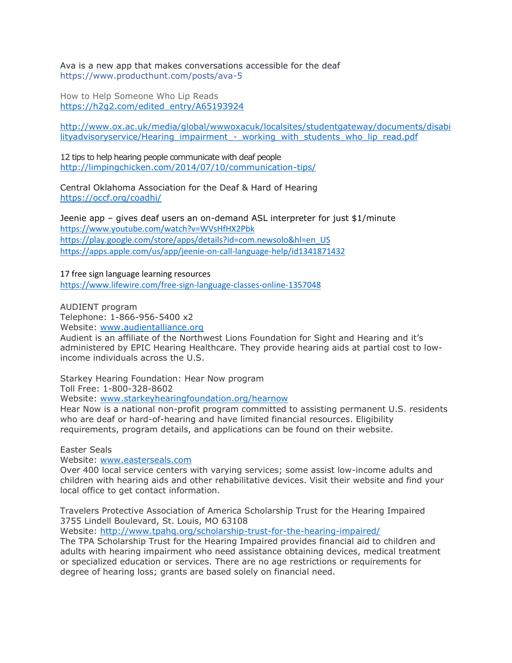Ava is a new app that makes conversations accessible for the deaf <https://www.producthunt.com/posts/ava-5>

How to Help Someone Who Lip Reads [https://h2g2.com/edited\\_entry/A65193924](https://h2g2.com/edited_entry/A65193924)

[http://www.ox.ac.uk/media/global/wwwoxacuk/localsites/studentgateway/documents/disabi](http://www.ox.ac.uk/media/global/wwwoxacuk/localsites/studentgateway/documents/disabilityadvisoryservice/Hearing_impairment_-_working_with_students_who_lip_read.pdf) lityadvisoryservice/Hearing\_impairment - working\_with\_students\_who\_lip\_read.pdf

12 tips to help hearing people communicate with deaf people <http://limpingchicken.com/2014/07/10/communication-tips/>

Central Oklahoma Association for the Deaf & Hard of Hearing <https://occf.org/coadhi/>

Jeenie app – gives deaf users an on-demand ASL interpreter for just \$1/minute <https://www.youtube.com/watch?v=WVsHfHX2Pbk> [https://play.google.com/store/apps/details?id=com.newsolo&hl=en\\_US](https://play.google.com/store/apps/details?id=com.newsolo&hl=en_US) <https://apps.apple.com/us/app/jeenie-on-call-language-help/id1341871432>

17 free sign language learning resources <https://www.lifewire.com/free-sign-language-classes-online-1357048>

AUDIENT program

Telephone: 1-866-956-5400 x2 Website: [www.audientalliance.org](http://www.audientalliance.org/)

Audient is an affiliate of the Northwest Lions Foundation for Sight and Hearing and it's administered by EPIC Hearing Healthcare. They provide hearing aids at partial cost to lowincome individuals across the U.S.

Starkey Hearing Foundation: Hear Now program

Toll Free: 1-800-328-8602

Website: [www.starkeyhearingfoundation.org/hearnow](https://www.starkeyhearingfoundation.org/hear-now)

Hear Now is a national non-profit program committed to assisting permanent U.S. residents who are deaf or hard-of-hearing and have limited financial resources. Eligibility requirements, program details, and applications can be found on their website.

Easter Seals

Website: [www.easterseals.com](http://www.easterseals.com/)

Over 400 local service centers with varying services; some assist low-income adults and children with hearing aids and other rehabilitative devices. Visit their website and find your local office to get contact information.

Travelers Protective Association of America Scholarship Trust for the Hearing Impaired 3755 Lindell Boulevard, St. Louis, MO 63108

Website:<http://www.tpahq.org/scholarship-trust-for-the-hearing-impaired/>

The TPA Scholarship Trust for the Hearing Impaired provides financial aid to children and adults with hearing impairment who need assistance obtaining devices, medical treatment or specialized education or services. There are no age restrictions or requirements for degree of hearing loss; grants are based solely on financial need.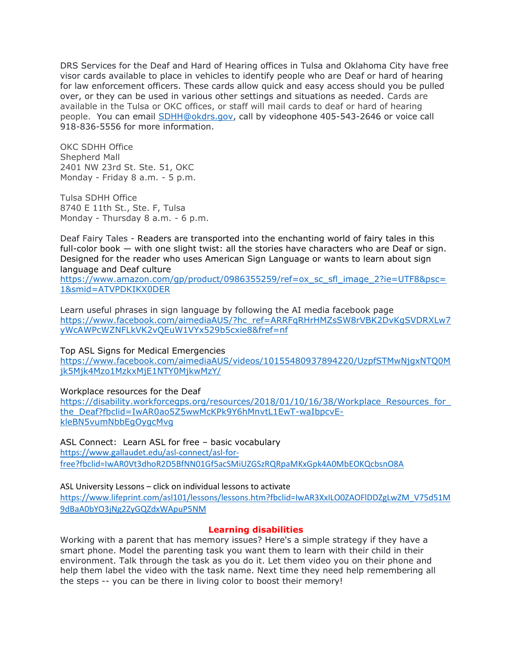DRS Services for the Deaf and Hard of Hearing offices in Tulsa and Oklahoma City have free visor cards available to place in vehicles to identify people who are Deaf or hard of hearing for law enforcement officers. These cards allow quick and easy access should you be pulled over, or they can be used in various other settings and situations as needed. Cards are available in the Tulsa or OKC offices, or staff will mail cards to deaf or hard of hearing people. You can email [SDHH@okdrs.gov,](mailto:SDHH@okdrs.gov) call by videophone 405-543-2646 or voice call 918-836-5556 for more information.

OKC SDHH Office Shepherd Mall 2401 NW 23rd St. Ste. 51, OKC Monday - Friday 8 a.m. - 5 p.m.

Tulsa SDHH Office 8740 E 11th St., Ste. F, Tulsa Monday - Thursday 8 a.m. - 6 p.m.

Deaf Fairy Tales - Readers are transported into the enchanting world of fairy tales in this full-color book — with one slight twist: all the stories have characters who are Deaf or sign. Designed for the reader who uses American Sign Language or wants to learn about sign language and Deaf culture

[https://www.amazon.com/gp/product/0986355259/ref=ox\\_sc\\_sfl\\_image\\_2?ie=UTF8&psc=](https://www.amazon.com/gp/product/0986355259/ref=ox_sc_sfl_image_2?ie=UTF8&psc=1&smid=ATVPDKIKX0DER) [1&smid=ATVPDKIKX0DER](https://www.amazon.com/gp/product/0986355259/ref=ox_sc_sfl_image_2?ie=UTF8&psc=1&smid=ATVPDKIKX0DER)

Learn useful phrases in sign language by following the AI media facebook page [https://www.facebook.com/aimediaAUS/?hc\\_ref=ARRFqRHrHMZsSW8rVBK2DvKgSVDRXLw7](https://www.facebook.com/aimediaAUS/?hc_ref=ARRFqRHrHMZsSW8rVBK2DvKgSVDRXLw7yWcAWPcWZNFLkVK2vQEuW1VYx529b5cxie8&fref=nf) [yWcAWPcWZNFLkVK2vQEuW1VYx529b5cxie8&fref=nf](https://www.facebook.com/aimediaAUS/?hc_ref=ARRFqRHrHMZsSW8rVBK2DvKgSVDRXLw7yWcAWPcWZNFLkVK2vQEuW1VYx529b5cxie8&fref=nf)

Top ASL Signs for Medical Emergencies

[https://www.facebook.com/aimediaAUS/videos/10155480937894220/UzpfSTMwNjgxNTQ0M](https://www.facebook.com/aimediaAUS/videos/10155480937894220/UzpfSTMwNjgxNTQ0Mjk5Mjk4Mzo1MzkxMjE1NTY0MjkwMzY/) [jk5Mjk4Mzo1MzkxMjE1NTY0MjkwMzY/](https://www.facebook.com/aimediaAUS/videos/10155480937894220/UzpfSTMwNjgxNTQ0Mjk5Mjk4Mzo1MzkxMjE1NTY0MjkwMzY/)

Workplace resources for the Deaf

https://disability.workforcegps.org/resources/2018/01/10/16/38/Workplace\_Resources\_for [the\\_Deaf?fbclid=IwAR0ao5Z5wwMcKPk9Y6hMnvtL1EwT-waIbpcvE](https://disability.workforcegps.org/resources/2018/01/10/16/38/Workplace_Resources_for_the_Deaf?fbclid=IwAR0ao5Z5wwMcKPk9Y6hMnvtL1EwT-waIbpcvE-kleBN5vumNbbEgOygcMvg)[kleBN5vumNbbEgOygcMvg](https://disability.workforcegps.org/resources/2018/01/10/16/38/Workplace_Resources_for_the_Deaf?fbclid=IwAR0ao5Z5wwMcKPk9Y6hMnvtL1EwT-waIbpcvE-kleBN5vumNbbEgOygcMvg)

ASL Connect: Learn ASL for free – basic vocabulary [https://www.gallaudet.edu/asl-connect/asl-for](https://www.gallaudet.edu/asl-connect/asl-for-free?fbclid=IwAR0Vt3dhoR2D5BfNN01Gf5acSMiUZGSzRQRpaMKxGpk4A0MbEOKQcbsnO8A)[free?fbclid=IwAR0Vt3dhoR2D5BfNN01Gf5acSMiUZGSzRQRpaMKxGpk4A0MbEOKQcbsnO8A](https://www.gallaudet.edu/asl-connect/asl-for-free?fbclid=IwAR0Vt3dhoR2D5BfNN01Gf5acSMiUZGSzRQRpaMKxGpk4A0MbEOKQcbsnO8A)

ASL University Lessons – click on individual lessons to activate

[https://www.lifeprint.com/asl101/lessons/lessons.htm?fbclid=IwAR3XxILO0ZAOFlDDZgLwZM\\_V75d51M](https://www.lifeprint.com/asl101/lessons/lessons.htm?fbclid=IwAR3XxILO0ZAOFlDDZgLwZM_V75d51M9dBaA0bYO3jNg2ZyGQZdxWApuP5NM) [9dBaA0bYO3jNg2ZyGQZdxWApuP5NM](https://www.lifeprint.com/asl101/lessons/lessons.htm?fbclid=IwAR3XxILO0ZAOFlDDZgLwZM_V75d51M9dBaA0bYO3jNg2ZyGQZdxWApuP5NM)

## **Learning disabilities**

Working with a parent that has memory issues? Here's a simple strategy if they have a smart phone. Model the parenting task you want them to learn with their child in their environment. Talk through the task as you do it. Let them video you on their phone and help them label the video with the task name. Next time they need help remembering all the steps -- you can be there in living color to boost their memory!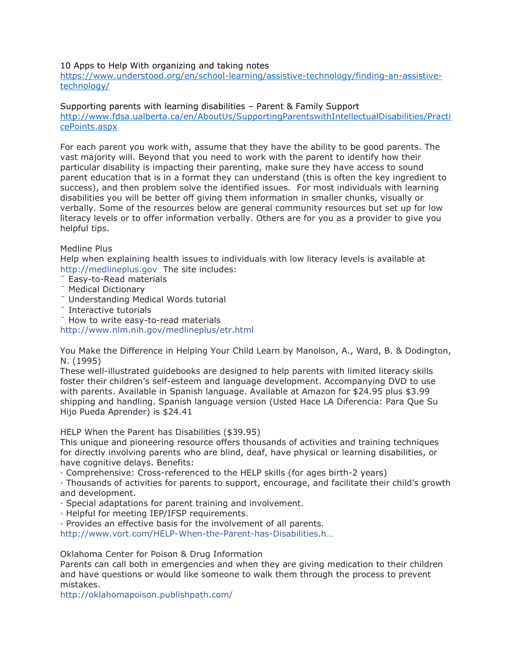## 10 Apps to Help With organizing and taking notes

[https://www.understood.org/en/school-learning/assistive-technology/finding-an-assistive](https://www.understood.org/en/school-learning/assistive-technology/finding-an-assistive-technology/)[technology/](https://www.understood.org/en/school-learning/assistive-technology/finding-an-assistive-technology/)

Supporting parents with learning disabilities – Parent & Family Support [http://www.fdsa.ualberta.ca/en/AboutUs/SupportingParentswithIntellectualDisabilities/Practi](http://www.fdsa.ualberta.ca/en/AboutUs/SupportingParentswithIntellectualDisabilities/PracticePoints.aspx) [cePoints.aspx](http://www.fdsa.ualberta.ca/en/AboutUs/SupportingParentswithIntellectualDisabilities/PracticePoints.aspx)

For each parent you work with, assume that they have the ability to be good parents. The vast majority will. Beyond that you need to work with the parent to identify how their particular disability is impacting their parenting, make sure they have access to sound parent education that is in a format they can understand (this is often the key ingredient to success), and then problem solve the identified issues. For most individuals with learning disabilities you will be better off giving them information in smaller chunks, visually or verbally. Some of the resources below are general community resources but set up for low literacy levels or to offer information verbally. Others are for you as a provider to give you helpful tips.

## Medline Plus

Help when explaining health issues to individuals with low literacy levels is available at [http://medlineplus.gov](http://l.facebook.com/l.php?u=http%3A%2F%2Fmedlineplus.gov%2F&h=XAQEb_nzPAQGhxdBorR2Z7-n0DnJpbZL-Q9WdoFzNXjcP5g&enc=AZPiN1Ssd7B90L9D4Amu0O2K7KGD2nfGREcSkb24qj6lMGDIULyWfdBo_iVEAeFOaTLYBlWWwu39mwQM0ylXuhYy0QyNwA3i-BRvpBOWMKF3-q2W5iTbo2un34T41FKI6K1ocJph5FeNcrfpqNpZR1dvTIypUaR3FnQrr0-WbeOk9Jgdgy1J4kZ16clbWAjqp1G5IANIG9qLkUl0rE6l_ZT9&s=1) The site includes:

- ¨ Easy-to-Read materials
- ¨ Medical Dictionary
- ¨ Understanding Medical Words tutorial
- ¨ Interactive tutorials

¨ How to write easy-to-read materials

[http://www.nlm.nih.gov/medlineplus/etr.html](http://l.facebook.com/l.php?u=http%3A%2F%2Fwww.nlm.nih.gov%2Fmedlineplus%2Fetr.html&h=5AQFiTt4TAQEwR0BebApWUY3LB6IP0HgnFEULIbpOBreAZg&enc=AZNszjglwmDIQJfzjPNIWv0QTlra5t4l7ExY7QjyXnDRErf5vsOwY1IqpWE08uFm6hapZ7LXKq7FQUI2jU5SWg3Bq6qC3OvBj2vN_ThsQapd-Yb-if8vx5o6k3lTpjnR0JhThMyje1B_i9Tv16or7MCTvj8RZ4wbZ-Z4p20cNFio7VZ6CeuTYoooSIl4KtTHILiItBku8tFivVYO3w-ybL9H&s=1)

You Make the Difference in Helping Your Child Learn by Manolson, A., Ward, B. & Dodington, N. (1995)

These well-illustrated guidebooks are designed to help parents with limited literacy skills foster their children's self-esteem and language development. Accompanying DVD to use with parents. Available in Spanish language. Available at Amazon for \$24.95 plus \$3.99 shipping and handling. Spanish language version (Usted Hace LA Diferencia: Para Que Su Hijo Pueda Aprender) is \$24.41

HELP When the Parent has Disabilities (\$39.95)

This unique and pioneering resource offers thousands of activities and training techniques for directly involving parents who are blind, deaf, have physical or learning disabilities, or have cognitive delays. Benefits:

· Comprehensive: Cross-referenced to the HELP skills (for ages birth-2 years)

· Thousands of activities for parents to support, encourage, and facilitate their child's growth and development.

· Special adaptations for parent training and involvement.

· Helpful for meeting IEP/IFSP requirements.

· Provides an effective basis for the involvement of all parents.

[http://www.vort.com/HELP-When-the-Parent-has-Disabi](http://l.facebook.com/l.php?u=http%3A%2F%2Fwww.vort.com%2FHELP-When-the-Parent-has-Disabilities.html&h=3AQH0bR6vAQHn6albKF4zGks7rMTlRMERTD9_N5NDjcdXKg&enc=AZP0kgDGK6hvA1oXCEHEP8NcGSq5IQstC2URxNLYxl6oUl8HEorXDpzxN6-9Q4TqrW3pkJJDxQ-675fxn-MxEzS3B71FD9FYSsHqufxeqXrYj8Eg9-nHx0dpC92t8IXC0LkqiS2uc_Ui7PeD02u0z_cFytoBLZeJB0Bt8BM9MeVfl7rdJiKUfzH3hm2JfI80jnyHlEovT6zyz4EdmL-3OMvD&s=1)lities.h…

Oklahoma Center for Poison & Drug Information

Parents can call both in emergencies and when they are giving medication to their children and have questions or would like someone to walk them through the process to prevent mistakes.

[http://oklahomapoison.publishpath.com/](http://l.facebook.com/l.php?u=http%3A%2F%2Foklahomapoison.publishpath.com%2F&h=pAQEdLwHvAQHNvJLmciMI1isIsgRzRiodg0crmyijnpAypA&enc=AZM8-Kphm3YBXzNVP9pfzWEZCTRDWl1k9czDGPN3uOdnid8SBWb2xmbrYSIz7dr0H2aMHKHH54CKr8DrRSMCqEzqLaThTGR-1mWv7858PYnMcQUUhbpyIlL52U0QjtnJhM_-X5jfMJIMT0OgZIrLHsqWdoY82iVY1GapKakvCLpr1IRNns5m2K_UhFbfZCcxGNlvbeSTMezR7qSDjz4ix86m&s=1)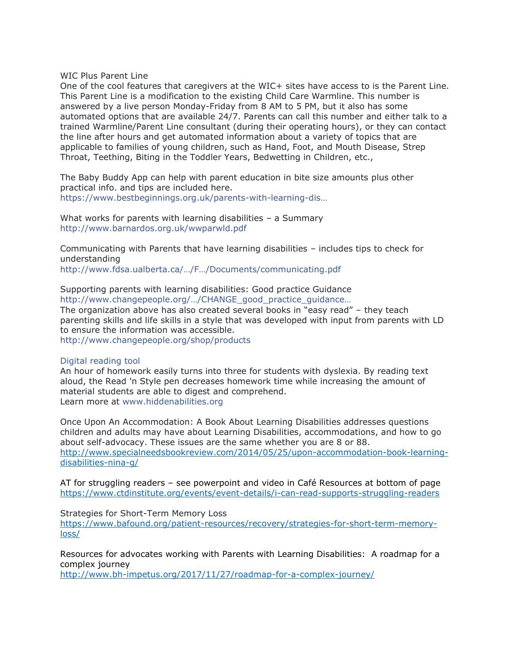WIC Plus Parent Line

One of the cool features that caregivers at the WIC+ sites have access to is the Parent Line. This Parent Line is a modification to the existing Child Care Warmline. This number is answered by a live person Monday-Friday from 8 AM to 5 PM, but it also has some automated options that are available 24/7. Parents can call this number and either talk to a trained Warmline/Parent Line consultant (during their operating hours), or they can contact the line after hours and get automated information about a variety of topics that are applicable to families of young children, such as Hand, Foot, and Mouth Disease, Strep Throat, Teething, Biting in the Toddler Years, Bedwetting in Children, etc.,

The Baby Buddy App can help with parent education in bite size amounts plus other practical info. and tips are included here. [https://www.bestbeginnings.org.uk/parents-with-learning-](https://www.bestbeginnings.org.uk/parents-with-learning-disabilities)dis…

What works for parents with learning disabilities – a Summary <http://www.barnardos.org.uk/wwparwld.pdf>

Communicating with Parents that have learning disabilities – includes tips to check for understanding

[http://www.fdsa.ualberta.ca/…/F…/Documents/communicating.pdf](http://www.fdsa.ualberta.ca/AboutUs/SupportingParentswithIntellectualDisabilities/~/media/Family%20and%20Disability%20Studies%20Initiatives/Documents/communicating.pdf)

Supporting parents with learning disabilities: Good practice Guidance [http://www.changepeople.org/…/CHANGE\\_good\\_practice\\_guidance…](http://www.changepeople.org/Change/media/Change-Media-Library/Project%20Media/CHANGE_good_practice_guidance_2006.pdf) The organization above has also created several books in "easy read" – they teach parenting skills and life skills in a style that was developed with input from parents with LD to ensure the information was accessible. [http://www.changepeople.org/shop/products](http://l.facebook.com/l.php?u=http%3A%2F%2Fwww.changepeople.org%2Fshop%2Fproducts&h=7AQFGC-vPAQHnVYwycDj044rCmmgXXwADHb4I8LtVktk7xQ&enc=AZM8bE7mfIGbl0woP9_OmIdUEUC1Re0KZ_OwwRCqOce2potwoQ6Cc6UkQh4fUM0VVmh3jzcvgXlitzz-s9fz3Z0wqqMspXUMFlFaeTV6YDGhKeUyteL7HVqWXXDo964WYoHGouBXdtVIPIweZOtBwZI_eD0qP38r3dzDuGjv33F68XrZKB4n4dQWJk7v3VprcO8EDtUIE_hqFG8JgPC-KazP&s=1)

#### Digital reading tool

An hour of homework easily turns into three for students with dyslexia. By reading text aloud, the Read 'n Style pen decreases homework time while increasing the amount of material students are able to digest and comprehend. Learn more at [www.hiddenabilities.org](http://www.hiddenabilities.org/)

Once Upon An Accommodation: A Book About Learning Disabilities addresses questions children and adults may have about Learning Disabilities, accommodations, and how to go about self-advocacy. These issues are the same whether you are 8 or 88. [http://www.specialneedsbookreview.com/2014/05/25/upon-accommodation-book-learning](http://www.specialneedsbookreview.com/2014/05/25/upon-accommodation-book-learning-disabilities-nina-g/)[disabilities-nina-g/](http://www.specialneedsbookreview.com/2014/05/25/upon-accommodation-book-learning-disabilities-nina-g/)

AT for struggling readers – see powerpoint and video in Café Resources at bottom of page <https://www.ctdinstitute.org/events/event-details/i-can-read-supports-struggling-readers>

Strategies for Short-Term Memory Loss

[https://www.bafound.org/patient-resources/recovery/strategies-for-short-term-memory](https://www.bafound.org/patient-resources/recovery/strategies-for-short-term-memory-loss/)[loss/](https://www.bafound.org/patient-resources/recovery/strategies-for-short-term-memory-loss/)

Resources for advocates working with Parents with Learning Disabilities: A roadmap for a complex journey

<http://www.bh-impetus.org/2017/11/27/roadmap-for-a-complex-journey/>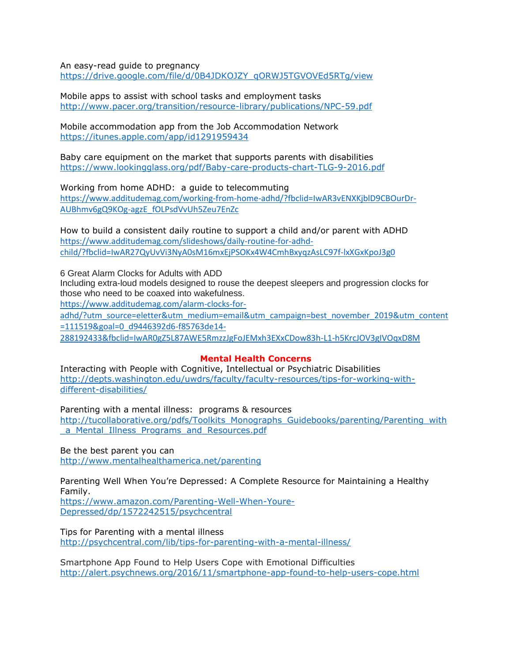An easy-read guide to pregnancy

[https://drive.google.com/file/d/0B4JDKOJZY\\_qORWJ5TGVOVEd5RTg/view](https://drive.google.com/file/d/0B4JDKOJZY_qORWJ5TGVOVEd5RTg/view)

Mobile apps to assist with school tasks and employment tasks <http://www.pacer.org/transition/resource-library/publications/NPC-59.pdf>

Mobile accommodation app from the Job Accommodation Network <https://itunes.apple.com/app/id1291959434>

Baby care equipment on the market that supports parents with disabilities <https://www.lookingglass.org/pdf/Baby-care-products-chart-TLG-9-2016.pdf>

Working from home ADHD: a guide to telecommuting [https://www.additudemag.com/working-from-home-adhd/?fbclid=IwAR3vENXKjblD9CBOurDr-](https://www.additudemag.com/working-from-home-adhd/?fbclid=IwAR3vENXKjblD9CBOurDr-AUBhmv6gQ9KOg-agzE_fOLPsdVvUh5Zeu7EnZc)[AUBhmv6gQ9KOg-agzE\\_fOLPsdVvUh5Zeu7EnZc](https://www.additudemag.com/working-from-home-adhd/?fbclid=IwAR3vENXKjblD9CBOurDr-AUBhmv6gQ9KOg-agzE_fOLPsdVvUh5Zeu7EnZc)

How to build a consistent daily routine to support a child and/or parent with ADHD [https://www.additudemag.com/slideshows/daily-routine-for-adhd](https://www.additudemag.com/slideshows/daily-routine-for-adhd-child/?fbclid=IwAR27QyUvVi3NyA0sM16mxEjPSOKx4W4CmhBxyqzAsLC97f-lxXGxKpoJ3g0)[child/?fbclid=IwAR27QyUvVi3NyA0sM16mxEjPSOKx4W4CmhBxyqzAsLC97f-lxXGxKpoJ3g0](https://www.additudemag.com/slideshows/daily-routine-for-adhd-child/?fbclid=IwAR27QyUvVi3NyA0sM16mxEjPSOKx4W4CmhBxyqzAsLC97f-lxXGxKpoJ3g0)

6 Great Alarm Clocks for Adults with ADD

Including extra-loud models designed to rouse the deepest sleepers and progression clocks for those who need to be coaxed into wakefulness.

[https://www.additudemag.com/alarm-clocks-for-](https://www.additudemag.com/alarm-clocks-for-adhd/?utm_source=eletter&utm_medium=email&utm_campaign=best_november_2019&utm_content=111519&goal=0_d9446392d6-f85763de14-288192433&fbclid=IwAR0gZ5L87AWE5RmzzJgFoJEMxh3EXxCDow83h-L1-h5KrcJOV3gIVOqxD8M)

[adhd/?utm\\_source=eletter&utm\\_medium=email&utm\\_campaign=best\\_november\\_2019&utm\\_content](https://www.additudemag.com/alarm-clocks-for-adhd/?utm_source=eletter&utm_medium=email&utm_campaign=best_november_2019&utm_content=111519&goal=0_d9446392d6-f85763de14-288192433&fbclid=IwAR0gZ5L87AWE5RmzzJgFoJEMxh3EXxCDow83h-L1-h5KrcJOV3gIVOqxD8M) [=111519&goal=0\\_d9446392d6-f85763de14-](https://www.additudemag.com/alarm-clocks-for-adhd/?utm_source=eletter&utm_medium=email&utm_campaign=best_november_2019&utm_content=111519&goal=0_d9446392d6-f85763de14-288192433&fbclid=IwAR0gZ5L87AWE5RmzzJgFoJEMxh3EXxCDow83h-L1-h5KrcJOV3gIVOqxD8M)

[288192433&fbclid=IwAR0gZ5L87AWE5RmzzJgFoJEMxh3EXxCDow83h-L1-h5KrcJOV3gIVOqxD8M](https://www.additudemag.com/alarm-clocks-for-adhd/?utm_source=eletter&utm_medium=email&utm_campaign=best_november_2019&utm_content=111519&goal=0_d9446392d6-f85763de14-288192433&fbclid=IwAR0gZ5L87AWE5RmzzJgFoJEMxh3EXxCDow83h-L1-h5KrcJOV3gIVOqxD8M)

## **Mental Health Concerns**

Interacting with People with Cognitive, Intellectual or Psychiatric Disabilities [http://depts.washington.edu/uwdrs/faculty/faculty-resources/tips-for-working-with](http://depts.washington.edu/uwdrs/faculty/faculty-resources/tips-for-working-with-different-disabilities/)[different-disabilities/](http://depts.washington.edu/uwdrs/faculty/faculty-resources/tips-for-working-with-different-disabilities/)

Parenting with a mental illness: programs & resources [http://tucollaborative.org/pdfs/Toolkits\\_Monographs\\_Guidebooks/parenting/Parenting\\_with](http://tucollaborative.org/pdfs/Toolkits_Monographs_Guidebooks/parenting/Parenting_with_a_Mental_Illness_Programs_and_Resources.pdf) [\\_a\\_Mental\\_Illness\\_Programs\\_and\\_Resources.pdf](http://tucollaborative.org/pdfs/Toolkits_Monographs_Guidebooks/parenting/Parenting_with_a_Mental_Illness_Programs_and_Resources.pdf)

Be the best parent you can <http://www.mentalhealthamerica.net/parenting>

Parenting Well When You're Depressed: A Complete Resource for Maintaining a Healthy Family.

[https://www.amazon.com/Parenting-Well-When-Youre-](https://www.amazon.com/Parenting-Well-When-Youre-Depressed/dp/1572242515/psychcentral)[Depressed/dp/1572242515/psychcentral](https://www.amazon.com/Parenting-Well-When-Youre-Depressed/dp/1572242515/psychcentral)

Tips for Parenting with a mental illness <http://psychcentral.com/lib/tips-for-parenting-with-a-mental-illness/>

Smartphone App Found to Help Users Cope with Emotional Difficulties <http://alert.psychnews.org/2016/11/smartphone-app-found-to-help-users-cope.html>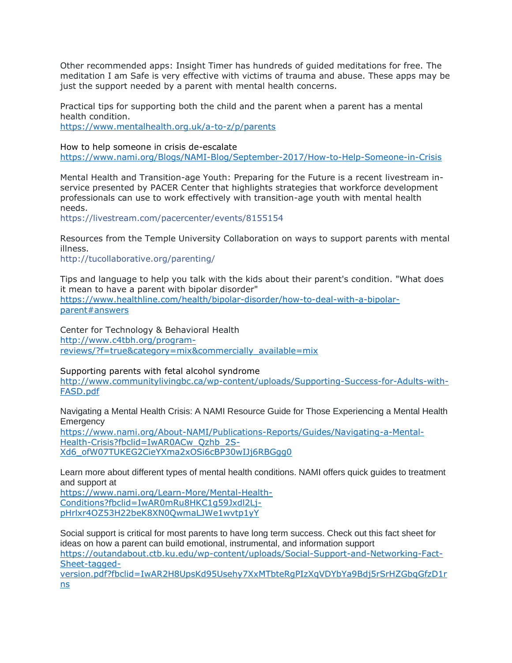Other recommended apps: Insight Timer has hundreds of guided meditations for free. The meditation I am Safe is very effective with victims of trauma and abuse. These apps may be just the support needed by a parent with mental health concerns.

Practical tips for supporting both the child and the parent when a parent has a mental health condition.

<https://www.mentalhealth.org.uk/a-to-z/p/parents>

How to help someone in crisis de-escalate <https://www.nami.org/Blogs/NAMI-Blog/September-2017/How-to-Help-Someone-in-Crisis>

Mental Health and Transition-age Youth: Preparing for the Future is a recent livestream inservice presented by PACER Center that highlights strategies that workforce development professionals can use to work effectively with transition-age youth with mental health needs.

<https://livestream.com/pacercenter/events/8155154>

Resources from the Temple University Collaboration on ways to support parents with mental illness.

<http://tucollaborative.org/parenting/>

Tips and language to help you talk with the kids about their parent's condition. "What does it mean to have a parent with bipolar disorder" [https://www.healthline.com/health/bipolar-disorder/how-to-deal-with-a-bipolar](https://www.healthline.com/health/bipolar-disorder/how-to-deal-with-a-bipolar-parent#answers)[parent#answers](https://www.healthline.com/health/bipolar-disorder/how-to-deal-with-a-bipolar-parent#answers)

Center for Technology & Behavioral Health [http://www.c4tbh.org/program](http://www.c4tbh.org/program-reviews/?f=true&category=mix&commercially_available=mix)[reviews/?f=true&category=mix&commercially\\_available=mix](http://www.c4tbh.org/program-reviews/?f=true&category=mix&commercially_available=mix)

Supporting parents with fetal alcohol syndrome [http://www.communitylivingbc.ca/wp-content/uploads/Supporting-Success-for-Adults-with-](http://www.communitylivingbc.ca/wp-content/uploads/Supporting-Success-for-Adults-with-FASD.pdf)[FASD.pdf](http://www.communitylivingbc.ca/wp-content/uploads/Supporting-Success-for-Adults-with-FASD.pdf)

Navigating a Mental Health Crisis: A NAMI Resource Guide for Those Experiencing a Mental Health **Emergency** 

[https://www.nami.org/About-NAMI/Publications-Reports/Guides/Navigating-a-Mental-](https://www.nami.org/About-NAMI/Publications-Reports/Guides/Navigating-a-Mental-Health-Crisis?fbclid=IwAR0ACw_Qzhb_2S-Xd6_ofW07TUKEG2CieYXma2xOSi6cBP30wIJj6RBGgg0)[Health-Crisis?fbclid=IwAR0ACw\\_Qzhb\\_2S-](https://www.nami.org/About-NAMI/Publications-Reports/Guides/Navigating-a-Mental-Health-Crisis?fbclid=IwAR0ACw_Qzhb_2S-Xd6_ofW07TUKEG2CieYXma2xOSi6cBP30wIJj6RBGgg0)[Xd6\\_ofW07TUKEG2CieYXma2xOSi6cBP30wIJj6RBGgg0](https://www.nami.org/About-NAMI/Publications-Reports/Guides/Navigating-a-Mental-Health-Crisis?fbclid=IwAR0ACw_Qzhb_2S-Xd6_ofW07TUKEG2CieYXma2xOSi6cBP30wIJj6RBGgg0)

Learn more about different types of mental health conditions. NAMI offers quick guides to treatment and support at

[https://www.nami.org/Learn-More/Mental-Health-](https://www.nami.org/Learn-More/Mental-Health-Conditions?fbclid=IwAR0mRu8HKC1g59Jxdl2Lj-pHrlxr4OZ53H22beK8XN0QwmaLJWe1wvtp1yY)[Conditions?fbclid=IwAR0mRu8HKC1g59Jxdl2Lj](https://www.nami.org/Learn-More/Mental-Health-Conditions?fbclid=IwAR0mRu8HKC1g59Jxdl2Lj-pHrlxr4OZ53H22beK8XN0QwmaLJWe1wvtp1yY)[pHrlxr4OZ53H22beK8XN0QwmaLJWe1wvtp1yY](https://www.nami.org/Learn-More/Mental-Health-Conditions?fbclid=IwAR0mRu8HKC1g59Jxdl2Lj-pHrlxr4OZ53H22beK8XN0QwmaLJWe1wvtp1yY)

Social support is critical for most parents to have long term success. Check out this fact sheet for ideas on how a parent can build emotional, instrumental, and information support [https://outandabout.ctb.ku.edu/wp-content/uploads/Social-Support-and-Networking-Fact-](https://outandabout.ctb.ku.edu/wp-content/uploads/Social-Support-and-Networking-Fact-Sheet-tagged-version.pdf?fbclid=IwAR2H8UpsKd95Usehy7XxMTbteRgPIzXqVDYbYa9Bdj5rSrHZGbqGfzD1rns)[Sheet-tagged-](https://outandabout.ctb.ku.edu/wp-content/uploads/Social-Support-and-Networking-Fact-Sheet-tagged-version.pdf?fbclid=IwAR2H8UpsKd95Usehy7XxMTbteRgPIzXqVDYbYa9Bdj5rSrHZGbqGfzD1rns)

[version.pdf?fbclid=IwAR2H8UpsKd95Usehy7XxMTbteRgPIzXqVDYbYa9Bdj5rSrHZGbqGfzD1r](https://outandabout.ctb.ku.edu/wp-content/uploads/Social-Support-and-Networking-Fact-Sheet-tagged-version.pdf?fbclid=IwAR2H8UpsKd95Usehy7XxMTbteRgPIzXqVDYbYa9Bdj5rSrHZGbqGfzD1rns) [ns](https://outandabout.ctb.ku.edu/wp-content/uploads/Social-Support-and-Networking-Fact-Sheet-tagged-version.pdf?fbclid=IwAR2H8UpsKd95Usehy7XxMTbteRgPIzXqVDYbYa9Bdj5rSrHZGbqGfzD1rns)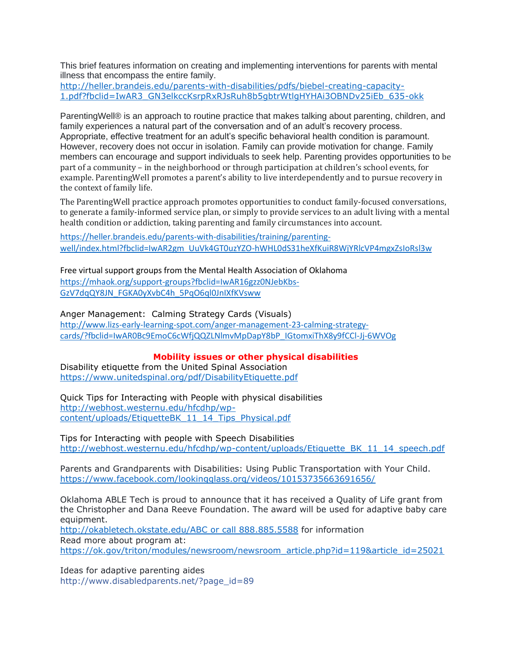This brief features information on creating and implementing interventions for parents with mental illness that encompass the entire family.

[http://heller.brandeis.edu/parents-with-disabilities/pdfs/biebel-creating-capacity-](http://heller.brandeis.edu/parents-with-disabilities/pdfs/biebel-creating-capacity-1.pdf?fbclid=IwAR3_GN3elkccKsrpRxRJsRuh8b5gbtrWtlgHYHAi3OBNDv25iEb_635-okk)[1.pdf?fbclid=IwAR3\\_GN3elkccKsrpRxRJsRuh8b5gbtrWtlgHYHAi3OBNDv25iEb\\_635-okk](http://heller.brandeis.edu/parents-with-disabilities/pdfs/biebel-creating-capacity-1.pdf?fbclid=IwAR3_GN3elkccKsrpRxRJsRuh8b5gbtrWtlgHYHAi3OBNDv25iEb_635-okk)

ParentingWell® is an approach to routine practice that makes talking about parenting, children, and family experiences a natural part of the conversation and of an adult's recovery process. Appropriate, effective treatment for an adult's specific behavioral health condition is paramount. However, recovery does not occur in isolation. Family can provide motivation for change. Family members can encourage and support individuals to seek help. Parenting provides opportunities to be part of a community – in the neighborhood or through participation at children's school events, for example. ParentingWell promotes a parent's ability to live interdependently and to pursue recovery in the context of family life.

The ParentingWell practice approach promotes opportunities to conduct family-focused conversations, to generate a family-informed service plan, or simply to provide services to an adult living with a mental health condition or addiction, taking parenting and family circumstances into account.

[https://heller.brandeis.edu/parents-with-disabilities/training/parenting](https://heller.brandeis.edu/parents-with-disabilities/training/parenting-well/index.html?fbclid=IwAR2gm_UuVk4GT0uzYZO-hWHL0dS31heXfKuiR8WjYRlcVP4mgxZsIoRsl3w)[well/index.html?fbclid=IwAR2gm\\_UuVk4GT0uzYZO-hWHL0dS31heXfKuiR8WjYRlcVP4mgxZsIoRsl3w](https://heller.brandeis.edu/parents-with-disabilities/training/parenting-well/index.html?fbclid=IwAR2gm_UuVk4GT0uzYZO-hWHL0dS31heXfKuiR8WjYRlcVP4mgxZsIoRsl3w)

Free virtual support groups from the Mental Health Association of Oklahoma [https://mhaok.org/support-groups?fbclid=IwAR16gzz0NJebKbs-](https://mhaok.org/support-groups?fbclid=IwAR16gzz0NJebKbs-GzV7dqQY8JN_FGKA0yXvbC4h_5PqO6ql0JnIXfKVsww)[GzV7dqQY8JN\\_FGKA0yXvbC4h\\_5PqO6ql0JnIXfKVsww](https://mhaok.org/support-groups?fbclid=IwAR16gzz0NJebKbs-GzV7dqQY8JN_FGKA0yXvbC4h_5PqO6ql0JnIXfKVsww)

Anger Management: Calming Strategy Cards (Visuals)

[http://www.lizs-early-learning-spot.com/anger-management-23-calming-strategy](http://www.lizs-early-learning-spot.com/anger-management-23-calming-strategy-cards/?fbclid=IwAR0Bc9EmoC6cWfjQQZLNlmvMpDapY8bP_IGtomxiThX8y9fCCl-Jj-6WVOg)[cards/?fbclid=IwAR0Bc9EmoC6cWfjQQZLNlmvMpDapY8bP\\_IGtomxiThX8y9fCCl-Jj-6WVOg](http://www.lizs-early-learning-spot.com/anger-management-23-calming-strategy-cards/?fbclid=IwAR0Bc9EmoC6cWfjQQZLNlmvMpDapY8bP_IGtomxiThX8y9fCCl-Jj-6WVOg)

**Mobility issues or other physical disabilities**

Disability etiquette from the United Spinal Association <https://www.unitedspinal.org/pdf/DisabilityEtiquette.pdf>

Quick Tips for Interacting with People with physical disabilities [http://webhost.westernu.edu/hfcdhp/wp](http://webhost.westernu.edu/hfcdhp/wp-content/uploads/EtiquetteBK_11_14_Tips_Physical.pdf)[content/uploads/EtiquetteBK\\_11\\_14\\_Tips\\_Physical.pdf](http://webhost.westernu.edu/hfcdhp/wp-content/uploads/EtiquetteBK_11_14_Tips_Physical.pdf)

Tips for Interacting with people with Speech Disabilities [http://webhost.westernu.edu/hfcdhp/wp-content/uploads/Etiquette\\_BK\\_11\\_14\\_speech.pdf](http://webhost.westernu.edu/hfcdhp/wp-content/uploads/Etiquette_BK_11_14_speech.pdf)

Parents and Grandparents with Disabilities: Using Public Transportation with Your Child. <https://www.facebook.com/lookingglass.org/videos/10153735663691656/>

Oklahoma ABLE Tech is proud to announce that it has received a Quality of Life grant from the Christopher and Dana Reeve Foundation. The award will be used for adaptive baby care equipment.

[http://okabletech.okstate.edu/ABC or call 888.885.5588](http://okabletech.okstate.edu/ABC%20or%20call%20888.885.5588) for information Read more about program at: [https://ok.gov/triton/modules/newsroom/newsroom\\_article.php?id=119&article\\_id=25021](https://ok.gov/triton/modules/newsroom/newsroom_article.php?id=119&article_id=25021)

Ideas for adaptive parenting aides [http://www.disabledparents.net/?page\\_id=89](http://www.disabledparents.net/?page_id=89)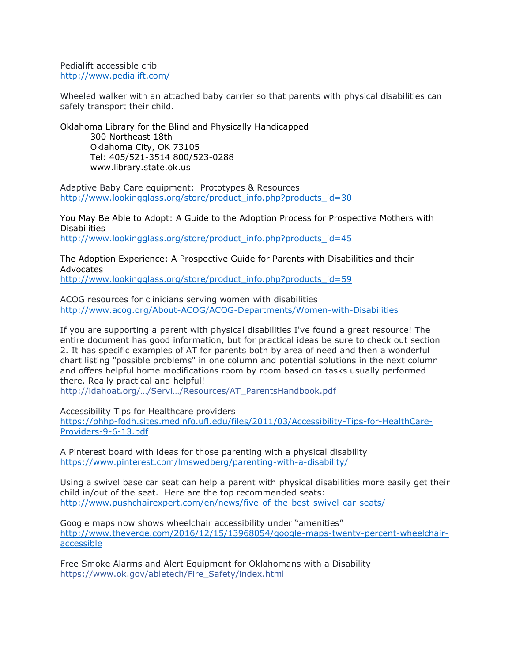Pedialift accessible crib <http://www.pedialift.com/>

Wheeled walker with an attached baby carrier so that parents with physical disabilities can safely transport their child.

Oklahoma Library for the Blind and Physically Handicapped 300 Northeast 18th Oklahoma City, OK 73105 Tel: 405/521-3514 800/523-0288 www.library.state.ok.us

Adaptive Baby Care equipment: Prototypes & Resources [http://www.lookingglass.org/store/product\\_info.php?products\\_id=30](http://www.lookingglass.org/store/product_info.php?products_id=30)

You May Be Able to Adopt: A Guide to the Adoption Process for Prospective Mothers with **Disabilities** [http://www.lookingglass.org/store/product\\_info.php?products\\_id=45](http://www.lookingglass.org/store/product_info.php?products_id=45)

The Adoption Experience: A Prospective Guide for Parents with Disabilities and their Advocates

[http://www.lookingglass.org/store/product\\_info.php?products\\_id=59](http://www.lookingglass.org/store/product_info.php?products_id=59)

ACOG resources for clinicians serving women with disabilities <http://www.acog.org/About-ACOG/ACOG-Departments/Women-with-Disabilities>

If you are supporting a parent with physical disabilities I've found a great resource! The entire document has good information, but for practical ideas be sure to check out section 2. It has specific examples of AT for parents both by area of need and then a wonderful chart listing "possible problems" in one column and potential solutions in the next column and offers helpful home modifications room by room based on tasks usually performed there. Really practical and helpful!

http://idahoat.o[rg/…/Servi…/Resources/AT\\_ParentsHandbook.pdf](http://idahoat.org/Portals/60/Documents/Services/Resources/AT_ParentsHandbook.pdf)

Accessibility Tips for Healthcare providers

[https://phhp-fodh.sites.medinfo.ufl.edu/files/2011/03/Accessibility-Tips-for-HealthCare-](https://phhp-fodh.sites.medinfo.ufl.edu/files/2011/03/Accessibility-Tips-for-HealthCare-Providers-9-6-13.pdf)[Providers-9-6-13.pdf](https://phhp-fodh.sites.medinfo.ufl.edu/files/2011/03/Accessibility-Tips-for-HealthCare-Providers-9-6-13.pdf)

A Pinterest board with ideas for those parenting with a physical disability <https://www.pinterest.com/lmswedberg/parenting-with-a-disability/>

Using a swivel base car seat can help a parent with physical disabilities more easily get their child in/out of the seat. Here are the top recommended seats: <http://www.pushchairexpert.com/en/news/five-of-the-best-swivel-car-seats/>

Google maps now shows wheelchair accessibility under "amenities" [http://www.theverge.com/2016/12/15/13968054/google-maps-twenty-percent-wheelchair](http://www.theverge.com/2016/12/15/13968054/google-maps-twenty-percent-wheelchair-accessible)[accessible](http://www.theverge.com/2016/12/15/13968054/google-maps-twenty-percent-wheelchair-accessible)

Free Smoke Alarms and Alert Equipment for Oklahomans with a Disability [https://www.ok.gov/abletech/Fire\\_Safety/index.html](https://www.ok.gov/abletech/Fire_Safety/index.html)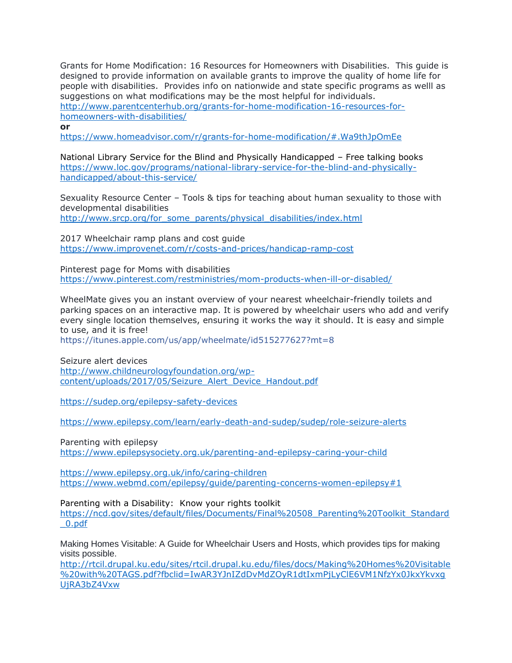Grants for Home Modification: 16 Resources for Homeowners with Disabilities. This guide is designed to provide information on available grants to improve the quality of home life for people with disabilities. Provides info on nationwide and state specific programs as welll as suggestions on what modifications may be the most helpful for individuals. [http://www.parentcenterhub.org/grants-for-home-modification-16-resources-for](http://www.parentcenterhub.org/grants-for-home-modification-16-resources-for-homeowners-with-disabilities/)[homeowners-with-disabilities/](http://www.parentcenterhub.org/grants-for-home-modification-16-resources-for-homeowners-with-disabilities/)

#### **or**

<https://www.homeadvisor.com/r/grants-for-home-modification/#.Wa9thJpOmEe>

National Library Service for the Blind and Physically Handicapped – Free talking books [https://www.loc.gov/programs/national-library-service-for-the-blind-and-physically](https://www.loc.gov/programs/national-library-service-for-the-blind-and-physically-handicapped/about-this-service/)[handicapped/about-this-service/](https://www.loc.gov/programs/national-library-service-for-the-blind-and-physically-handicapped/about-this-service/)

Sexuality Resource Center – Tools & tips for teaching about human sexuality to those with developmental disabilities

[http://www.srcp.org/for\\_some\\_parents/physical\\_disabilities/index.html](http://www.srcp.org/for_some_parents/physical_disabilities/index.html)

2017 Wheelchair ramp plans and cost guide <https://www.improvenet.com/r/costs-and-prices/handicap-ramp-cost>

Pinterest page for Moms with disabilities <https://www.pinterest.com/restministries/mom-products-when-ill-or-disabled/>

WheelMate gives you an instant overview of your nearest wheelchair-friendly toilets and parking spaces on an interactive map. It is powered by wheelchair users who add and verify every single location themselves, ensuring it works the way it should. It is easy and simple to use, and it is free!

<https://itunes.apple.com/us/app/wheelmate/id515277627?mt=8>

Seizure alert devices [http://www.childneurologyfoundation.org/wp](http://www.childneurologyfoundation.org/wp-content/uploads/2017/05/Seizure_Alert_Device_Handout.pdf)[content/uploads/2017/05/Seizure\\_Alert\\_Device\\_Handout.pdf](http://www.childneurologyfoundation.org/wp-content/uploads/2017/05/Seizure_Alert_Device_Handout.pdf)

<https://sudep.org/epilepsy-safety-devices>

<https://www.epilepsy.com/learn/early-death-and-sudep/sudep/role-seizure-alerts>

Parenting with epilepsy <https://www.epilepsysociety.org.uk/parenting-and-epilepsy-caring-your-child>

<https://www.epilepsy.org.uk/info/caring-children> <https://www.webmd.com/epilepsy/guide/parenting-concerns-women-epilepsy#1>

Parenting with a Disability: Know your rights toolkit

[https://ncd.gov/sites/default/files/Documents/Final%20508\\_Parenting%20Toolkit\\_Standard](https://ncd.gov/sites/default/files/Documents/Final%20508_Parenting%20Toolkit_Standard_0.pdf) [\\_0.pdf](https://ncd.gov/sites/default/files/Documents/Final%20508_Parenting%20Toolkit_Standard_0.pdf)

Making Homes Visitable: A Guide for Wheelchair Users and Hosts, which provides tips for making visits possible.

[http://rtcil.drupal.ku.edu/sites/rtcil.drupal.ku.edu/files/docs/Making%20Homes%20Visitable](http://rtcil.drupal.ku.edu/sites/rtcil.drupal.ku.edu/files/docs/Making%20Homes%20Visitable%20with%20TAGS.pdf?fbclid=IwAR3YJnIZdDvMdZOyR1dtIxmPjLyClE6VM1NfzYx0JkxYkvxgUjRA3bZ4Vxw) [%20with%20TAGS.pdf?fbclid=IwAR3YJnIZdDvMdZOyR1dtIxmPjLyClE6VM1NfzYx0JkxYkvxg](http://rtcil.drupal.ku.edu/sites/rtcil.drupal.ku.edu/files/docs/Making%20Homes%20Visitable%20with%20TAGS.pdf?fbclid=IwAR3YJnIZdDvMdZOyR1dtIxmPjLyClE6VM1NfzYx0JkxYkvxgUjRA3bZ4Vxw) [UjRA3bZ4Vxw](http://rtcil.drupal.ku.edu/sites/rtcil.drupal.ku.edu/files/docs/Making%20Homes%20Visitable%20with%20TAGS.pdf?fbclid=IwAR3YJnIZdDvMdZOyR1dtIxmPjLyClE6VM1NfzYx0JkxYkvxgUjRA3bZ4Vxw)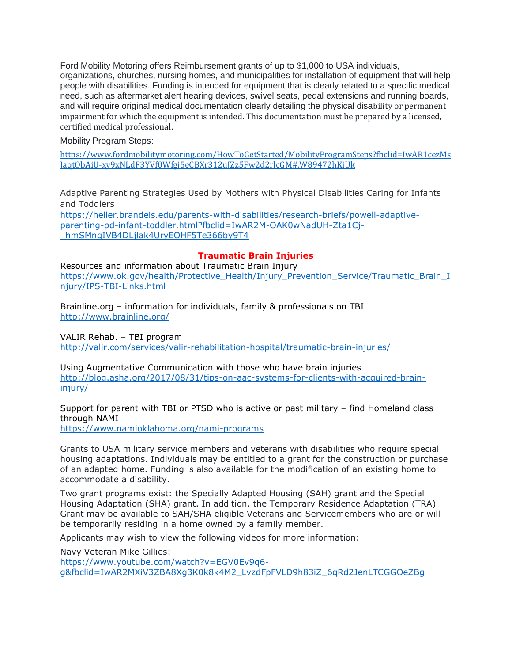Ford Mobility Motoring offers Reimbursement grants of up to \$1,000 to USA individuals, organizations, churches, nursing homes, and municipalities for installation of equipment that will help people with disabilities. Funding is intended for equipment that is clearly related to a specific medical need, such as aftermarket alert hearing devices, swivel seats, pedal extensions and running boards, and will require original medical documentation clearly detailing the physical disability or permanent impairment for which the equipment is intended. This documentation must be prepared by a licensed, certified medical professional.

Mobility Program Steps:

[https://www.fordmobilitymotoring.com/HowToGetStarted/MobilityProgramSteps?fbclid=IwAR1cezMs](https://www.fordmobilitymotoring.com/HowToGetStarted/MobilityProgramSteps?fbclid=IwAR1cezMsJaqtQbAiU-xy9xNLdF3YVf0Wfgj5eCBXr312uJZz5Fw2d2rlcGM#.W89472hKiUk) [JaqtQbAiU-xy9xNLdF3YVf0Wfgj5eCBXr312uJZz5Fw2d2rlcGM#.W89472hKiUk](https://www.fordmobilitymotoring.com/HowToGetStarted/MobilityProgramSteps?fbclid=IwAR1cezMsJaqtQbAiU-xy9xNLdF3YVf0Wfgj5eCBXr312uJZz5Fw2d2rlcGM#.W89472hKiUk)

Adaptive Parenting Strategies Used by Mothers with Physical Disabilities Caring for Infants and Toddlers

[https://heller.brandeis.edu/parents-with-disabilities/research-briefs/powell-adaptive](https://heller.brandeis.edu/parents-with-disabilities/research-briefs/powell-adaptive-parenting-pd-infant-toddler.html?fbclid=IwAR2M-OAK0wNadUH-Zta1Cj-_hmSMnqIVB4DLjlak4UryEOHF5Te366by9T4)[parenting-pd-infant-toddler.html?fbclid=IwAR2M-OAK0wNadUH-Zta1Cj-](https://heller.brandeis.edu/parents-with-disabilities/research-briefs/powell-adaptive-parenting-pd-infant-toddler.html?fbclid=IwAR2M-OAK0wNadUH-Zta1Cj-_hmSMnqIVB4DLjlak4UryEOHF5Te366by9T4) [\\_hmSMnqIVB4DLjlak4UryEOHF5Te366by9T4](https://heller.brandeis.edu/parents-with-disabilities/research-briefs/powell-adaptive-parenting-pd-infant-toddler.html?fbclid=IwAR2M-OAK0wNadUH-Zta1Cj-_hmSMnqIVB4DLjlak4UryEOHF5Te366by9T4)

# **Traumatic Brain Injuries**

Resources and information about Traumatic Brain Injury [https://www.ok.gov/health/Protective\\_Health/Injury\\_Prevention\\_Service/Traumatic\\_Brain\\_I](https://www.ok.gov/health/Protective_Health/Injury_Prevention_Service/Traumatic_Brain_Injury/IPS-TBI-Links.html) [njury/IPS-TBI-Links.html](https://www.ok.gov/health/Protective_Health/Injury_Prevention_Service/Traumatic_Brain_Injury/IPS-TBI-Links.html)

Brainline.org – information for individuals, family & professionals on TBI <http://www.brainline.org/>

VALIR Rehab. – TBI program <http://valir.com/services/valir-rehabilitation-hospital/traumatic-brain-injuries/>

Using Augmentative Communication with those who have brain injuries [http://blog.asha.org/2017/08/31/tips-on-aac-systems-for-clients-with-acquired-brain](http://blog.asha.org/2017/08/31/tips-on-aac-systems-for-clients-with-acquired-brain-injury/)[injury/](http://blog.asha.org/2017/08/31/tips-on-aac-systems-for-clients-with-acquired-brain-injury/)

Support for parent with TBI or PTSD who is active or past military – find Homeland class through NAMI

<https://www.namioklahoma.org/nami-programs>

Grants to USA military service members and veterans with disabilities who require special housing adaptations. Individuals may be entitled to a grant for the construction or purchase of an adapted home. Funding is also available for the modification of an existing home to accommodate a disability.

Two grant programs exist: the Specially Adapted Housing (SAH) grant and the Special Housing Adaptation (SHA) grant. In addition, the Temporary Residence Adaptation (TRA) Grant may be available to SAH/SHA eligible Veterans and Servicemembers who are or will be temporarily residing in a home owned by a family member.

Applicants may wish to view the following videos for more information:

Navy Veteran Mike Gillies:

[https://www.youtube.com/watch?v=EGV0Ev9q6](https://www.youtube.com/watch?v=EGV0Ev9q6-g&fbclid=IwAR2MXiV3ZBA8Xg3K0k8k4M2_LvzdFpFVLD9h83iZ_6qRd2JenLTCGGOeZBg) [g&fbclid=IwAR2MXiV3ZBA8Xg3K0k8k4M2\\_LvzdFpFVLD9h83iZ\\_6qRd2JenLTCGGOeZBg](https://www.youtube.com/watch?v=EGV0Ev9q6-g&fbclid=IwAR2MXiV3ZBA8Xg3K0k8k4M2_LvzdFpFVLD9h83iZ_6qRd2JenLTCGGOeZBg)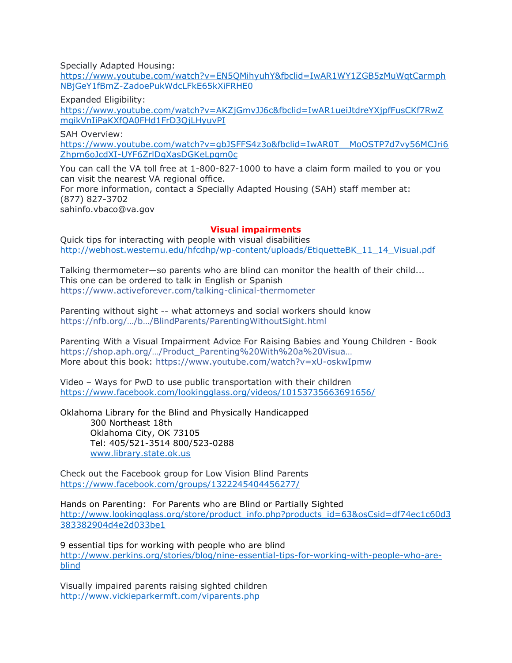Specially Adapted Housing:

[https://www.youtube.com/watch?v=EN5QMihyuhY&fbclid=IwAR1WY1ZGB5zMuWqtCarmph](https://www.youtube.com/watch?v=EN5QMihyuhY&fbclid=IwAR1WY1ZGB5zMuWqtCarmphNBjGeY1fBmZ-ZadoePukWdcLFkE65kXiFRHE0) [NBjGeY1fBmZ-ZadoePukWdcLFkE65kXiFRHE0](https://www.youtube.com/watch?v=EN5QMihyuhY&fbclid=IwAR1WY1ZGB5zMuWqtCarmphNBjGeY1fBmZ-ZadoePukWdcLFkE65kXiFRHE0)

Expanded Eligibility:

[https://www.youtube.com/watch?v=AKZjGmvJJ6c&fbclid=IwAR1ueiJtdreYXjpfFusCKf7RwZ](https://www.youtube.com/watch?v=AKZjGmvJJ6c&fbclid=IwAR1ueiJtdreYXjpfFusCKf7RwZmqikVnIiPaKXfQA0FHd1FrD3QjLHyuvPI) [mqikVnIiPaKXfQA0FHd1FrD3QjLHyuvPI](https://www.youtube.com/watch?v=AKZjGmvJJ6c&fbclid=IwAR1ueiJtdreYXjpfFusCKf7RwZmqikVnIiPaKXfQA0FHd1FrD3QjLHyuvPI)

SAH Overview: [https://www.youtube.com/watch?v=gbJSFFS4z3o&fbclid=IwAR0T\\_\\_MoOSTP7d7vy56MCJri6](https://www.youtube.com/watch?v=gbJSFFS4z3o&fbclid=IwAR0T__MoOSTP7d7vy56MCJri6Zhpm6oJcdXI-UYF6ZrlDgXasDGKeLpgm0c) [Zhpm6oJcdXI-UYF6ZrlDgXasDGKeLpgm0c](https://www.youtube.com/watch?v=gbJSFFS4z3o&fbclid=IwAR0T__MoOSTP7d7vy56MCJri6Zhpm6oJcdXI-UYF6ZrlDgXasDGKeLpgm0c)

You can call the VA toll free at 1-800-827-1000 to have a claim form mailed to you or you can visit the nearest VA regional office. For more information, contact a Specially Adapted Housing (SAH) staff member at: (877) 827-3702 sahinfo.vbaco@va.gov

## **Visual impairments**

Quick tips for interacting with people with visual disabilities [http://webhost.westernu.edu/hfcdhp/wp-content/uploads/EtiquetteBK\\_11\\_14\\_Visual.pdf](http://webhost.westernu.edu/hfcdhp/wp-content/uploads/EtiquetteBK_11_14_Visual.pdf)

Talking thermometer—so parents who are blind can monitor the health of their child... This one can be ordered to talk in English or Spanish <https://www.activeforever.com/talking-clinical-thermometer>

Parenting without sight -- what attorneys and social workers should know https[://nfb.org/…/b…/BlindParents/ParentingWithoutSight.html](https://nfb.org/Images/nfb/Publications/brochures/BlindParents/ParentingWithoutSight.html)

Parenting With a Visual Impairment Advice For Raising Babies and Young Children - Book [https://shop.aph.org/…/Product\\_Parenting%20With%20a%20Visua…](https://shop.aph.org/webapp/wcs/stores/servlet/Product_Parenting%20With%20a%20Visual%20Impairment%20%20%20%20Advice%20For%20Raising%20Babies%20and%20Young%20Children_22531P_10001_11051) More about this book:<https://www.youtube.com/watch?v=xU-oskwIpmw>

Video – Ways for PwD to use public transportation with their children <https://www.facebook.com/lookingglass.org/videos/10153735663691656/>

Oklahoma Library for the Blind and Physically Handicapped

300 Northeast 18th Oklahoma City, OK 73105 Tel: 405/521-3514 800/523-0288 [www.library.state.ok.us](http://www.library.state.ok.us/)

Check out the Facebook group for Low Vision Blind Parents <https://www.facebook.com/groups/1322245404456277/>

Hands on Parenting: For Parents who are Blind or Partially Sighted [http://www.lookingglass.org/store/product\\_info.php?products\\_id=63&osCsid=df74ec1c60d3](http://www.lookingglass.org/store/product_info.php?products_id=63&osCsid=df74ec1c60d3383382904d4e2d033be1) [383382904d4e2d033be1](http://www.lookingglass.org/store/product_info.php?products_id=63&osCsid=df74ec1c60d3383382904d4e2d033be1)

9 essential tips for working with people who are blind [http://www.perkins.org/stories/blog/nine-essential-tips-for-working-with-people-who-are](http://www.perkins.org/stories/blog/nine-essential-tips-for-working-with-people-who-are-blind)[blind](http://www.perkins.org/stories/blog/nine-essential-tips-for-working-with-people-who-are-blind)

Visually impaired parents raising sighted children <http://www.vickieparkermft.com/viparents.php>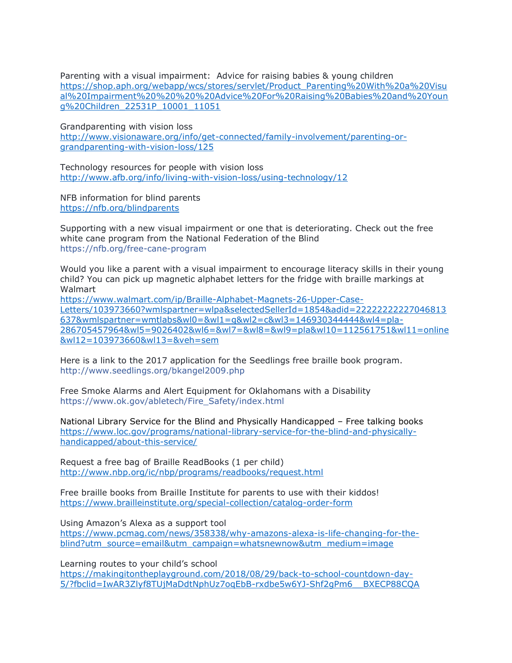Parenting with a visual impairment: Advice for raising babies & young children [https://shop.aph.org/webapp/wcs/stores/servlet/Product\\_Parenting%20With%20a%20Visu](https://shop.aph.org/webapp/wcs/stores/servlet/Product_Parenting%20With%20a%20Visual%20Impairment%20%20%20%20Advice%20For%20Raising%20Babies%20and%20Young%20Children_22531P_10001_11051) [al%20Impairment%20%20%20%20Advice%20For%20Raising%20Babies%20and%20Youn](https://shop.aph.org/webapp/wcs/stores/servlet/Product_Parenting%20With%20a%20Visual%20Impairment%20%20%20%20Advice%20For%20Raising%20Babies%20and%20Young%20Children_22531P_10001_11051) [g%20Children\\_22531P\\_10001\\_11051](https://shop.aph.org/webapp/wcs/stores/servlet/Product_Parenting%20With%20a%20Visual%20Impairment%20%20%20%20Advice%20For%20Raising%20Babies%20and%20Young%20Children_22531P_10001_11051)

Grandparenting with vision loss [http://www.visionaware.org/info/get-connected/family-involvement/parenting-or](http://www.visionaware.org/info/get-connected/family-involvement/parenting-or-grandparenting-with-vision-loss/125)[grandparenting-with-vision-loss/125](http://www.visionaware.org/info/get-connected/family-involvement/parenting-or-grandparenting-with-vision-loss/125)

Technology resources for people with vision loss <http://www.afb.org/info/living-with-vision-loss/using-technology/12>

NFB information for blind parents <https://nfb.org/blindparents>

Supporting with a new visual impairment or one that is deteriorating. Check out the free white cane program from the National Federation of the Blind <https://nfb.org/free-cane-program>

Would you like a parent with a visual impairment to encourage literacy skills in their young child? You can pick up magnetic alphabet letters for the fridge with braille markings at Walmart

[https://www.walmart.com/ip/Braille-Alphabet-Magnets-26-Upper-Case-](https://www.walmart.com/ip/Braille-Alphabet-Magnets-26-Upper-Case-Letters/103973660?wmlspartner=wlpa&selectedSellerId=1854&adid=22222222227046813637&wmlspartner=wmtlabs&wl0=&wl1=g&wl2=c&wl3=146930344444&wl4=pla-286705457964&wl5=9026402&wl6=&wl7=&wl8=&wl9=pla&wl10=112561751&wl11=online&wl12=103973660&wl13=&veh=sem)[Letters/103973660?wmlspartner=wlpa&selectedSellerId=1854&adid=22222222227046813](https://www.walmart.com/ip/Braille-Alphabet-Magnets-26-Upper-Case-Letters/103973660?wmlspartner=wlpa&selectedSellerId=1854&adid=22222222227046813637&wmlspartner=wmtlabs&wl0=&wl1=g&wl2=c&wl3=146930344444&wl4=pla-286705457964&wl5=9026402&wl6=&wl7=&wl8=&wl9=pla&wl10=112561751&wl11=online&wl12=103973660&wl13=&veh=sem) [637&wmlspartner=wmtlabs&wl0=&wl1=g&wl2=c&wl3=146930344444&wl4=pla-](https://www.walmart.com/ip/Braille-Alphabet-Magnets-26-Upper-Case-Letters/103973660?wmlspartner=wlpa&selectedSellerId=1854&adid=22222222227046813637&wmlspartner=wmtlabs&wl0=&wl1=g&wl2=c&wl3=146930344444&wl4=pla-286705457964&wl5=9026402&wl6=&wl7=&wl8=&wl9=pla&wl10=112561751&wl11=online&wl12=103973660&wl13=&veh=sem)[286705457964&wl5=9026402&wl6=&wl7=&wl8=&wl9=pla&wl10=112561751&wl11=online](https://www.walmart.com/ip/Braille-Alphabet-Magnets-26-Upper-Case-Letters/103973660?wmlspartner=wlpa&selectedSellerId=1854&adid=22222222227046813637&wmlspartner=wmtlabs&wl0=&wl1=g&wl2=c&wl3=146930344444&wl4=pla-286705457964&wl5=9026402&wl6=&wl7=&wl8=&wl9=pla&wl10=112561751&wl11=online&wl12=103973660&wl13=&veh=sem) [&wl12=103973660&wl13=&veh=sem](https://www.walmart.com/ip/Braille-Alphabet-Magnets-26-Upper-Case-Letters/103973660?wmlspartner=wlpa&selectedSellerId=1854&adid=22222222227046813637&wmlspartner=wmtlabs&wl0=&wl1=g&wl2=c&wl3=146930344444&wl4=pla-286705457964&wl5=9026402&wl6=&wl7=&wl8=&wl9=pla&wl10=112561751&wl11=online&wl12=103973660&wl13=&veh=sem)

Here is a link to the 2017 application for the Seedlings free braille book program. <http://www.seedlings.org/bkangel2009.php>

Free Smoke Alarms and Alert Equipment for Oklahomans with a Disability [https://www.ok.gov/abletech/Fire\\_Safety/index.html](https://www.ok.gov/abletech/Fire_Safety/index.html)

National Library Service for the Blind and Physically Handicapped – Free talking books [https://www.loc.gov/programs/national-library-service-for-the-blind-and-physically](https://www.loc.gov/programs/national-library-service-for-the-blind-and-physically-handicapped/about-this-service/)[handicapped/about-this-service/](https://www.loc.gov/programs/national-library-service-for-the-blind-and-physically-handicapped/about-this-service/)

Request a free bag of Braille ReadBooks (1 per child) <http://www.nbp.org/ic/nbp/programs/readbooks/request.html>

Free braille books from Braille Institute for parents to use with their kiddos! <https://www.brailleinstitute.org/special-collection/catalog-order-form>

Using Amazon's Alexa as a support tool

[https://www.pcmag.com/news/358338/why-amazons-alexa-is-life-changing-for-the](https://www.pcmag.com/news/358338/why-amazons-alexa-is-life-changing-for-the-blind?utm_source=email&utm_campaign=whatsnewnow&utm_medium=image)[blind?utm\\_source=email&utm\\_campaign=whatsnewnow&utm\\_medium=image](https://www.pcmag.com/news/358338/why-amazons-alexa-is-life-changing-for-the-blind?utm_source=email&utm_campaign=whatsnewnow&utm_medium=image)

Learning routes to your child's school

[https://makingitontheplayground.com/2018/08/29/back-to-school-countdown-day-](https://makingitontheplayground.com/2018/08/29/back-to-school-countdown-day-5/?fbclid=IwAR3Zlyf8TUjMaDdtNphUz7oqEbB-rxdbe5w6YJ-Shf2gPm6__BXECP88CQA)[5/?fbclid=IwAR3Zlyf8TUjMaDdtNphUz7oqEbB-rxdbe5w6YJ-Shf2gPm6\\_\\_BXECP88CQA](https://makingitontheplayground.com/2018/08/29/back-to-school-countdown-day-5/?fbclid=IwAR3Zlyf8TUjMaDdtNphUz7oqEbB-rxdbe5w6YJ-Shf2gPm6__BXECP88CQA)